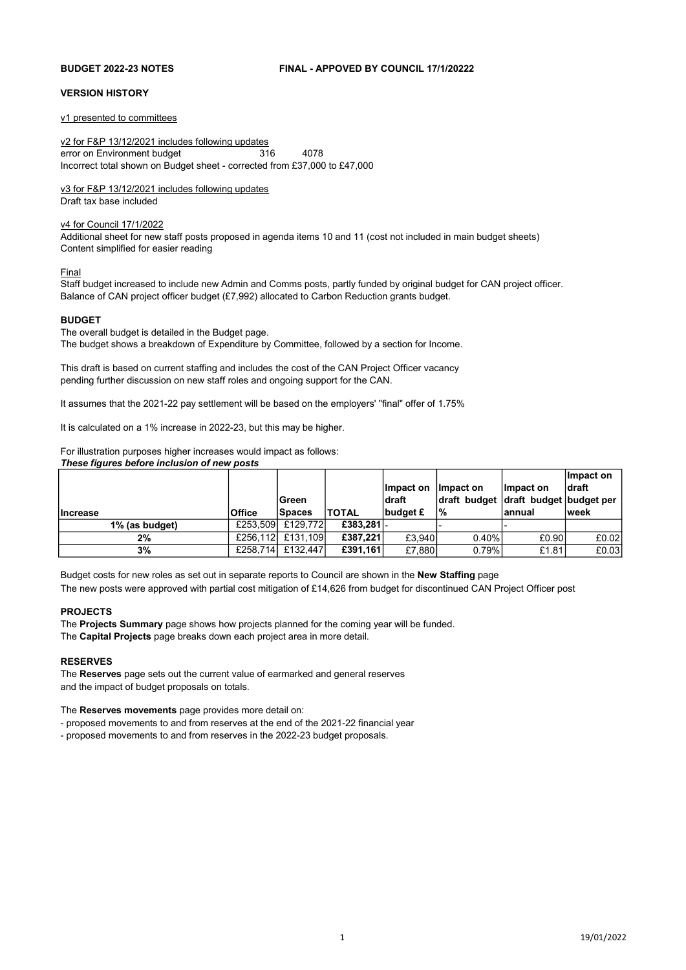#### BUDGET 2022-23 NOTES FINAL - APPOVED BY COUNCIL 17/1/20222

#### VERSION HISTORY

v1 presented to committees

v2 for F&P 13/12/2021 includes following updates error on Environment budget 316 4078 Incorrect total shown on Budget sheet - corrected from £37,000 to £47,000

#### v3 for F&P 13/12/2021 includes following updates

Draft tax base included

#### v4 for Council 17/1/2022

Additional sheet for new staff posts proposed in agenda items 10 and 11 (cost not included in main budget sheets) Content simplified for easier reading

#### Final

Staff budget increased to include new Admin and Comms posts, partly funded by original budget for CAN project officer. Balance of CAN project officer budget (£7,992) allocated to Carbon Reduction grants budget.

#### **BUDGET**

The overall budget is detailed in the Budget page. The budget shows a breakdown of Expenditure by Committee, followed by a section for Income.

This draft is based on current staffing and includes the cost of the CAN Project Officer vacancy pending further discussion on new staff roles and ongoing support for the CAN.

It assumes that the 2021-22 pay settlement will be based on the employers' "final" offer of 1.75%

It is calculated on a 1% increase in 2022-23, but this may be higher.

For illustration purposes higher increases would impact as follows: These figures before inclusion of new posts

|                 |               |               |              |           |                                      |            | Impact on |
|-----------------|---------------|---------------|--------------|-----------|--------------------------------------|------------|-----------|
|                 |               |               |              | Impact on | llmpact on                           | ∣lmpact on | ldraft    |
|                 |               | lGreen.       |              | ldraft    | draft budget draft budget budget per |            |           |
| <b>Increase</b> | <b>Office</b> | <b>Spaces</b> | <b>TOTAL</b> | budget £  | <u>l</u> %                           | lannual    | lweek     |
| 1% (as budget)  | £253.509      | £129,772      | £383.281 -   |           |                                      |            |           |
| 2%              | £256.112      | £131.109      | £387.221     | £3.940    | $0.40\%$                             | £0.90      | £0.02     |
| 3%              | £258.714      | £132.447      | £391,161     | £7.880    | 0.79%                                | £1.81      | £0.03     |

Budget costs for new roles as set out in separate reports to Council are shown in the New Staffing page The new posts were approved with partial cost mitigation of £14,626 from budget for discontinued CAN Project Officer post

#### PROJECTS

The Projects Summary page shows how projects planned for the coming year will be funded. The Capital Projects page breaks down each project area in more detail.

#### RESERVES

The Reserves page sets out the current value of earmarked and general reserves and the impact of budget proposals on totals.

The Reserves movements page provides more detail on:

- proposed movements to and from reserves at the end of the 2021-22 financial year

- proposed movements to and from reserves in the 2022-23 budget proposals.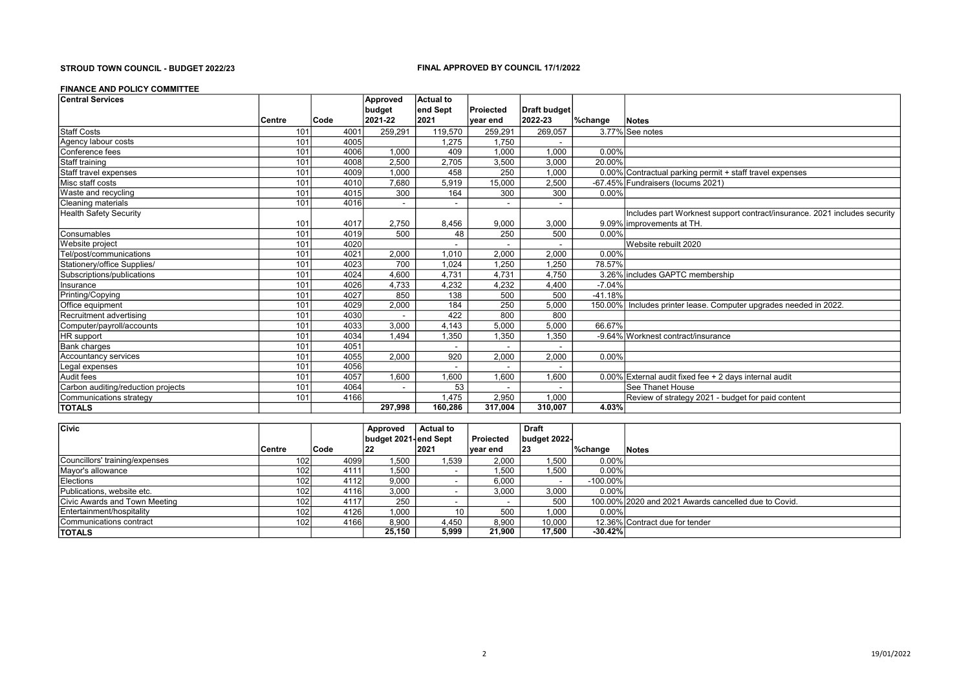#### STROUD TOWN COUNCIL - BUDGET 2022/23 FINAL APPROVED BY COUNCIL 17/1/2022

#### FINANCE AND POLICY COMMITTEE

| <b>Central Services</b>            |        |      | Approved | Actual to                |                          |                          |           |                                                                           |
|------------------------------------|--------|------|----------|--------------------------|--------------------------|--------------------------|-----------|---------------------------------------------------------------------------|
|                                    |        |      | budget   | end Sept                 | <b>Projected</b>         | Draft budget             |           |                                                                           |
|                                    | Centre | Code | 2021-22  | 2021                     | ∣vear end                | 2022-23                  | ∣%change  | Notes                                                                     |
| <b>Staff Costs</b>                 | 101    | 4001 | 259,291  | 119,570                  | 259,291                  | 269,057                  |           | 3.77% See notes                                                           |
| Agency labour costs                | 101    | 4005 |          | 1,275                    | 1,750                    |                          |           |                                                                           |
| Conference fees                    | 101    | 4006 | 1,000    | 409                      | 1,000                    | 1,000                    | 0.00%     |                                                                           |
| Staff training                     | 101    | 4008 | 2,500    | 2,705                    | 3,500                    | 3,000                    | 20.00%    |                                                                           |
| Staff travel expenses              | 101    | 4009 | 1.000    | 458                      | 250                      | 1.000                    |           | 0.00% Contractual parking permit + staff travel expenses                  |
| Misc staff costs                   | 101    | 4010 | 7,680    | 5,919                    | 15,000                   | 2,500                    |           | -67.45% Fundraisers (locums 2021)                                         |
| Waste and recycling                | 101    | 4015 | 300      | 164                      | 300                      | 300                      | 0.00%     |                                                                           |
| <b>Cleaning materials</b>          | 101    | 4016 |          | $\overline{\phantom{a}}$ | $\overline{\phantom{a}}$ | $\overline{\phantom{a}}$ |           |                                                                           |
| <b>Health Safety Security</b>      |        |      |          |                          |                          |                          |           | Includes part Worknest support contract/insurance. 2021 includes security |
|                                    | 101    | 4017 | 2,750    | 8,456                    | 9,000                    | 3,000                    |           | 9.09% improvements at TH.                                                 |
| Consumables                        | 101    | 4019 | 500      | 48                       | 250                      | 500                      | 0.00%     |                                                                           |
| Website project                    | 101    | 4020 |          |                          |                          |                          |           | Website rebuilt 2020                                                      |
| Tel/post/communications            | 101    | 4021 | 2,000    | 1.010                    | 2.000                    | 2,000                    | 0.00%     |                                                                           |
| Stationery/office Supplies/        | 101    | 4023 | 700      | 1.024                    | 1,250                    | 1,250                    | 78.57%    |                                                                           |
| Subscriptions/publications         | 101    | 4024 | 4,600    | 4.731                    | 4,731                    | 4,750                    |           | 3.26% includes GAPTC membership                                           |
| Insurance                          | 101    | 4026 | 4,733    | 4,232                    | 4,232                    | 4,400                    | $-7.04%$  |                                                                           |
| Printing/Copying                   | 101    | 4027 | 850      | 138                      | 500                      | 500                      | $-41.18%$ |                                                                           |
| Office equipment                   | 101    | 4029 | 2,000    | 184                      | 250                      | 5,000                    |           | 150.00% Includes printer lease. Computer upgrades needed in 2022.         |
| Recruitment advertising            | 101    | 4030 |          | 422                      | 800                      | 800                      |           |                                                                           |
| Computer/payroll/accounts          | 101    | 4033 | 3,000    | 4,143                    | 5,000                    | 5,000                    | 66.67%    |                                                                           |
| HR support                         | 101    | 4034 | 1,494    | 1,350                    | 1,350                    | 1,350                    |           | -9.64% Worknest contract/insurance                                        |
| <b>Bank charges</b>                | 101    | 4051 |          |                          |                          |                          |           |                                                                           |
| Accountancy services               | 101    | 4055 | 2,000    | 920                      | 2,000                    | 2,000                    | 0.00%     |                                                                           |
| Legal expenses                     | 101    | 4056 |          | $\overline{\phantom{a}}$ |                          |                          |           |                                                                           |
| Audit fees                         | 101    | 4057 | 1,600    | 1,600                    | 1,600                    | 1,600                    |           | 0.00% External audit fixed fee + 2 days internal audit                    |
| Carbon auditing/reduction projects | 101    | 4064 |          | 53                       |                          |                          |           | See Thanet House                                                          |
| Communications strategy            | 101    | 4166 |          | 1,475                    | 2,950                    | 1,000                    |           | Review of strategy 2021 - budget for paid content                         |
| <b>TOTALS</b>                      |        |      | 297,998  | 160.286                  | 317,004                  | 310,007                  | 4.03%     |                                                                           |

| <b>Civic</b>                   |          |      | Approved              | <b>Actual to</b>         |           | <b>Draft</b>             |             |                                                      |
|--------------------------------|----------|------|-----------------------|--------------------------|-----------|--------------------------|-------------|------------------------------------------------------|
|                                |          |      | budget 2021-lend Sept |                          | Proiected | budget 2022-             |             |                                                      |
|                                | l Centre | Code | 22                    | 2021                     | vear end  | $ 23\rangle$             | ∣%change    | <b>Notes</b>                                         |
| Councillors' training/expenses | 102      | 4099 | 1.500                 | 1.539                    | 2.000     | 1.500                    | 0.00%       |                                                      |
| Mayor's allowance              | 102      | 4111 | 1,500                 | $\overline{\phantom{0}}$ | 1,500     | 1,500                    | 0.00%       |                                                      |
| <b>Elections</b>               | 102      | 4112 | 9,000                 | -                        | 6,000     | $\overline{\phantom{0}}$ | $-100.00\%$ |                                                      |
| Publications, website etc.     | 102      | 4116 | 3,000                 |                          | 3,000     | 3,000                    | 0.00%       |                                                      |
| Civic Awards and Town Meeting  | 102      | 4117 | 250                   |                          |           | 500                      |             | 100,00% 2020 and 2021 Awards cancelled due to Covid. |
| Entertainment/hospitality      | 102      | 4126 | 1,000                 |                          | 500       | 1,000                    | 0.00%       |                                                      |
| lCommunications contract       | 102      | 4166 | 8.900                 | 4.450                    | 8.900     | 10.000                   |             | 12.36% Contract due for tender                       |
| <b>TOTALS</b>                  |          |      | 25,150                | 5,999                    | 21.900    | 17,500                   | $-30.42%$   |                                                      |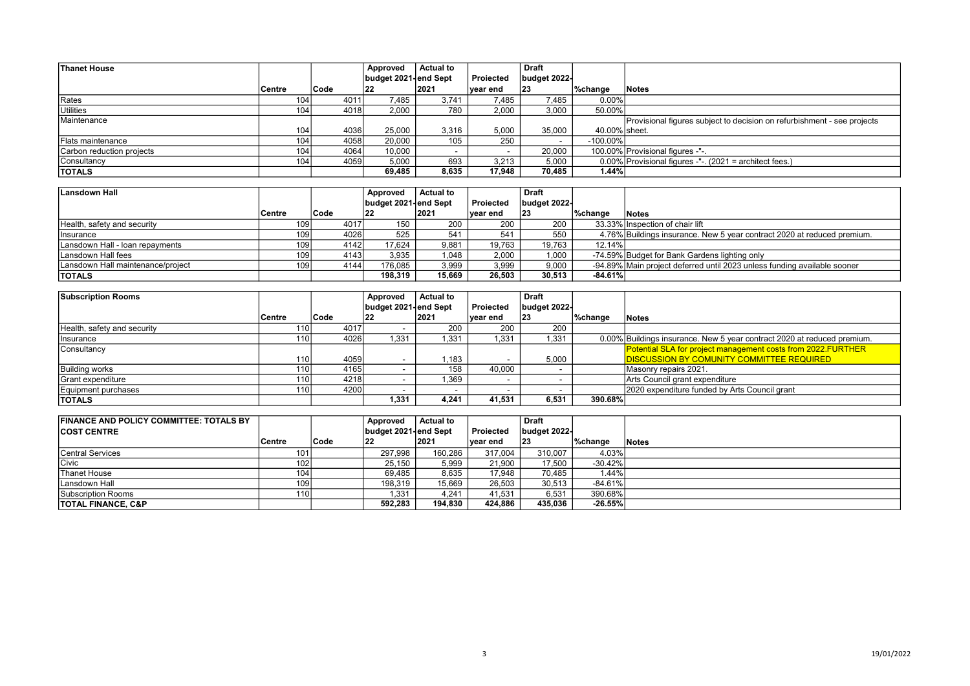| <b>Thanet House</b>       |               |             | Approved             | <b>Actual to</b> |           | <b>Draft</b>             |               |                                                                         |
|---------------------------|---------------|-------------|----------------------|------------------|-----------|--------------------------|---------------|-------------------------------------------------------------------------|
|                           |               |             | budget 2021-end Sept |                  | Proiected | budget 2022-             |               |                                                                         |
|                           | <b>Centre</b> | <b>Code</b> | 122                  | 2021             | ∣vear end | 23                       | ∣%change      | 'Notes                                                                  |
| Rates                     | 104           | 4011        | 7.485                | 3.741            | 7,485     | 7.485                    | 0.00%         |                                                                         |
| Utilities                 | 104           | 4018        | 2,000                | 780              | 2,000     | 3,000                    | 50.00%        |                                                                         |
| Maintenance               |               |             |                      |                  |           |                          |               | Provisional figures subject to decision on refurbishment - see projects |
|                           | 104.          | 4036        | 25,000               | 3,316            | 5,000     | 35,000                   | 40.00% sheet. |                                                                         |
| <b>Flats maintenance</b>  | 104           | 4058        | 20,000               | 105              | 250       | $\overline{\phantom{0}}$ | $-100.00\%$   |                                                                         |
| Carbon reduction projects | 104           | 4064        | 10,000               | -                |           | 20,000                   |               | 100.00% Provisional figures -"-.                                        |
| Consultancy               | 104           | 4059        | 5,000                | 693              | 3.213     | 5,000                    |               | $0.00\%$ Provisional figures -"-. (2021 = architect fees.)              |
| <b>TOTALS</b>             |               |             | 69,485               | 8,635            | 17.948    | 70.485                   | 1.44%         |                                                                         |

| Lansdown Hall                     |               |       | Approved             | <b>Actual to</b> |           | <b>Draft</b> |           |                                                                          |
|-----------------------------------|---------------|-------|----------------------|------------------|-----------|--------------|-----------|--------------------------------------------------------------------------|
|                                   |               |       | budget 2021-end Sept |                  | Projected | budget 2022- |           |                                                                          |
|                                   | <b>Centre</b> | Code  | 22                   | 2021             | ∣vear end | 23           | ∣%change  | Notes                                                                    |
| Health, safety and security       | 109           | 4017  | 150                  | 200              | 200       | 200          |           | 33.33% Inspection of chair lift                                          |
| Ilnsurance                        | 109           | 4026  | 525                  | 541              | 541       | 550          |           | 4.76% Buildings insurance. New 5 year contract 2020 at reduced premium.  |
| Lansdown Hall - loan repayments   | 109           | 41421 | 17,624               | 9,881            | 19.763    | 19,763       | 12.14%    |                                                                          |
| Lansdown Hall fees                | 109           | 41431 | 3,935                | 1,048            | 2,000     | 1,000        |           | -74.59% Budget for Bank Gardens lighting only                            |
| Lansdown Hall maintenance/project | 109           | 4144  | 176.085              | 3,999            | 3.999     | 9,000        |           | -94.89% Main project deferred until 2023 unless funding available sooner |
| <b>TOTALS</b>                     |               |       | 198.319              | 15,669           | 26.503    | 30,513       | $-84.61%$ |                                                                          |

| <b>Subscription Rooms</b>   |                  |             | Approved             | <b>Actual to</b> |           | <b>Draft</b> |          |                                                                         |
|-----------------------------|------------------|-------------|----------------------|------------------|-----------|--------------|----------|-------------------------------------------------------------------------|
|                             |                  |             | budget 2021-end Sept |                  | Proiected | budget 2022- |          |                                                                         |
|                             | ∣Centre          | <b>Code</b> | 22                   | 2021             | ∣vear end | $ 23\rangle$ | ∣%change | <b>Notes</b>                                                            |
| Health, safety and security |                  | 4017        |                      | 200              | 200       | 200          |          |                                                                         |
| Insurance                   | 1101             | 4026 l      | 1.331                | .331             | 1.331     | 1.331        |          | 0.00% Buildings insurance. New 5 year contract 2020 at reduced premium. |
| Consultancy                 |                  |             |                      |                  |           |              |          | Potential SLA for project management costs from 2022.FURTHER            |
|                             | 1101             | 4059        |                      | .183             |           | 5.000        |          | <b>DISCUSSION BY COMUNITY COMMITTEE REQUIRED</b>                        |
| <b>Building works</b>       | 1101             | 4165        |                      | 158              | 40.000    |              |          | Masonry repairs 2021.                                                   |
| Grant expenditure           | 110 <sub>1</sub> | 4218        |                      | .369             |           |              |          | Arts Council grant expenditure                                          |
| Equipment purchases         | 1101             | 4200        |                      |                  |           |              |          | 2020 expenditure funded by Arts Council grant                           |
| <b>TOTALS</b>               |                  |             | 1,331                | 4.241            | 41.531    | 6,531        | 390.68%  |                                                                         |

| <b>FINANCE AND POLICY COMMITTEE: TOTALS BY</b> |                  |             | Approved             | <b>Actual to</b> |                  | <b>Draft</b> |           |        |
|------------------------------------------------|------------------|-------------|----------------------|------------------|------------------|--------------|-----------|--------|
| <b>COST CENTRE</b>                             |                  |             | budget 2021-end Sept |                  | <b>Projected</b> | budget 2022- |           |        |
|                                                | ∣Centre          | <b>Code</b> | $ 22\rangle$         | 2021             | ∣vear end        | 23           | ∣%change  | 'Notes |
| lCentral Services                              | 101              |             | 297.998              | 160,286          | 317.004          | 310.007      | 4.03%     |        |
| <b>Civic</b>                                   | 102 <sub>l</sub> |             | 25.150               | 5.999            | 21.900           | 17.500       | $-30.42%$ |        |
| Thanet House                                   | 104              |             | 69.485               | 8,635            | 17,948           | 70.485       | 1.44%     |        |
| Lansdown Hall                                  | 109              |             | 198,319              | 15,669           | 26,503           | 30,513       | $-84.61%$ |        |
| Subscription Rooms                             | 110 <sub>1</sub> |             | 1,331                | 4.241            | 41.531           | 6,531        | 390.68%   |        |
| <b>TOTAL FINANCE, C&amp;P</b>                  |                  |             | 592,283              | 194,830          | 424,886          | 435,036      | $-26.55%$ |        |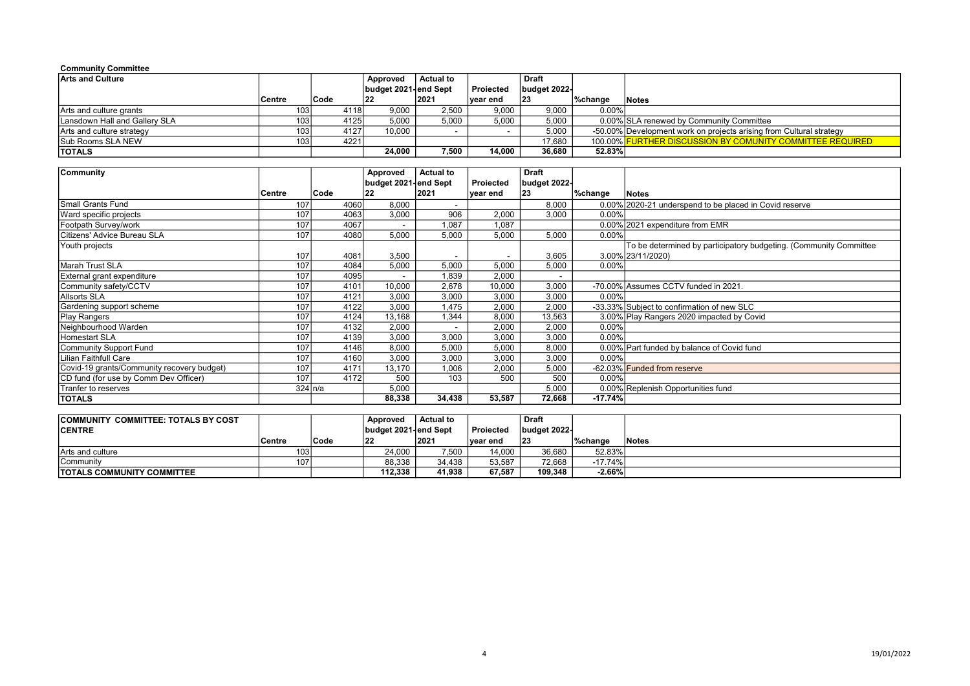#### Community Committee

| <b>Arts and Culture</b>       |                  |        | Approved             | Actual to |           | <b>Draft</b> |          |                                                                     |
|-------------------------------|------------------|--------|----------------------|-----------|-----------|--------------|----------|---------------------------------------------------------------------|
|                               |                  |        | budget 2021-end Sept |           | Projected | budget 2022- |          |                                                                     |
|                               | <b>Centre</b>    | Code   | 22                   | 2021      | vear end  | 123          | %change  | <b>Notes</b>                                                        |
| Arts and culture grants       | 103 <sub>l</sub> | 4118l  | 9,000                | 2.500     | 9.000     | 9,000        | $0.00\%$ |                                                                     |
| Lansdown Hall and Gallery SLA | 103 <sub>l</sub> | 4125 l | 5,000                | 5,000     | 5,000     | 5,000        |          | 0.00% SLA renewed by Community Committee                            |
| Arts and culture strategy     | 103 <sub>l</sub> | 4127 l | 10.000               |           |           | 5,000        |          | -50.00% Development work on projects arising from Cultural strategy |
| <b>Sub Rooms SLA NEW</b>      | 103 <sub>l</sub> | 42211  |                      |           |           | 17.680       |          | 100.00% FURTHER DISCUSSION BY COMUNITY COMMITTEE REQUIRED           |
| <b>TOTALS</b>                 |                  |        | 24.000               | 7.500     | 14.000    | 36,680       | 52.83%   |                                                                     |

| Community                                  |           |             | Approved               | <b>Actual to</b>         |           | Draft        |           |                                                                   |
|--------------------------------------------|-----------|-------------|------------------------|--------------------------|-----------|--------------|-----------|-------------------------------------------------------------------|
|                                            |           |             | budget 2021-∣end Sept∣ |                          | Proiected | budget 2022- |           |                                                                   |
|                                            | ∣Centre   | <b>Code</b> | 22                     | 2021                     | ∣vear end | 23           | ∣%change  | Notes                                                             |
| Small Grants Fund                          | 107       | 4060        | 8,000                  | $\overline{\phantom{a}}$ |           | 8,000        |           | 0.00% 2020-21 underspend to be placed in Covid reserve            |
| Ward specific projects                     | 107       | 4063        | 3,000                  | 906                      | 2,000     | 3,000        | 0.00%     |                                                                   |
| Footpath Survey/work                       | 107       | 4067        |                        | 1.087                    | 1,087     |              |           | 0.00% 2021 expenditure from EMR                                   |
| Citizens' Advice Bureau SLA                | 107       | 4080        | 5,000                  | 5,000                    | 5,000     | 5,000        | 0.00%     |                                                                   |
| Youth projects                             |           |             |                        |                          |           |              |           | To be determined by participatory budgeting. (Community Committee |
|                                            | 107       | 4081        | 3,500                  | $\overline{\phantom{a}}$ |           | 3,605        |           | 3.00% 23/11/2020)                                                 |
| Marah Trust SLA                            | 107       | 4084        | 5,000                  | 5,000                    | 5,000     | 5,000        | 0.00%     |                                                                   |
| External grant expenditure                 | 107       | 4095        |                        | 1.839                    | 2,000     |              |           |                                                                   |
| Community safety/CCTV                      | 107       | 4101        | 10,000                 | 2,678                    | 10,000    | 3,000        |           | -70.00% Assumes CCTV funded in 2021.                              |
| Allsorts SLA                               | 107       | 4121        | 3,000                  | 3,000                    | 3,000     | 3,000        | 0.00%     |                                                                   |
| Gardening support scheme                   | 107       | 4122        | 3,000                  | .475                     | 2,000     | 2,000        |           | -33.33% Subject to confirmation of new SLC                        |
| Play Rangers                               | 107       | 4124        | 13,168                 | 1.344                    | 8,000     | 13,563       |           | 3.00% Play Rangers 2020 impacted by Covid                         |
| Neighbourhood Warden                       | 107       | 4132        | 2,000                  | $\overline{\phantom{a}}$ | 2,000     | 2,000        | 0.00%     |                                                                   |
| Homestart SLA                              | 107       | 4139        | 3,000                  | 3,000                    | 3,000     | 3,000        | 0.00%     |                                                                   |
| Community Support Fund                     | 107       | 4146        | 8,000                  | 5,000                    | 5,000     | 8,000        |           | 0.00% Part funded by balance of Covid fund                        |
| Lilian Faithfull Care                      | 107       | 4160        | 3,000                  | 3,000                    | 3,000     | 3,000        | 0.00%     |                                                                   |
| Covid-19 grants/Community recovery budget) | 107       | 4171        | 13,170                 | 1,006                    | 2,000     | 5,000        |           | -62.03% Funded from reserve                                       |
| CD fund (for use by Comm Dev Officer)      | 107       | 4172        | 500                    | 103                      | 500       | 500          | 0.00%     |                                                                   |
| Tranfer to reserves                        | 324   n/a |             | 5,000                  |                          |           | 5,000        |           | 0.00% Replenish Opportunities fund                                |
| <b>TOTALS</b>                              |           |             | 88,338                 | 34,438                   | 53,587    | 72,668       | $-17.74%$ |                                                                   |

| <b>COMMUNITY COMMITTEE: TOTALS BY COST</b> |               |      | Approved             | <b>Actual to</b> |           | <b>Draft</b> |           |       |
|--------------------------------------------|---------------|------|----------------------|------------------|-----------|--------------|-----------|-------|
| <b>CENTRE</b>                              |               |      | budget 2021-end Sept |                  | Projected | budget 2022- |           |       |
|                                            | <b>Centre</b> | Code | 122                  | 2021             | ∣vear end | 23           | l%chanɑe  | Notes |
| Arts and culture                           | 103           |      | 24.000               | .500             | 14.000    | 36,680       | 52.83%    |       |
| l Communitv                                | 107           |      | 88.338               | 34.438           | 53.587    | 72.668       | $-17.74%$ |       |
| <b>TOTALS COMMUNITY COMMITTEE</b>          |               |      | 112.338              | 41.938           | 67.587    | 109.348      | $-2.66%$  |       |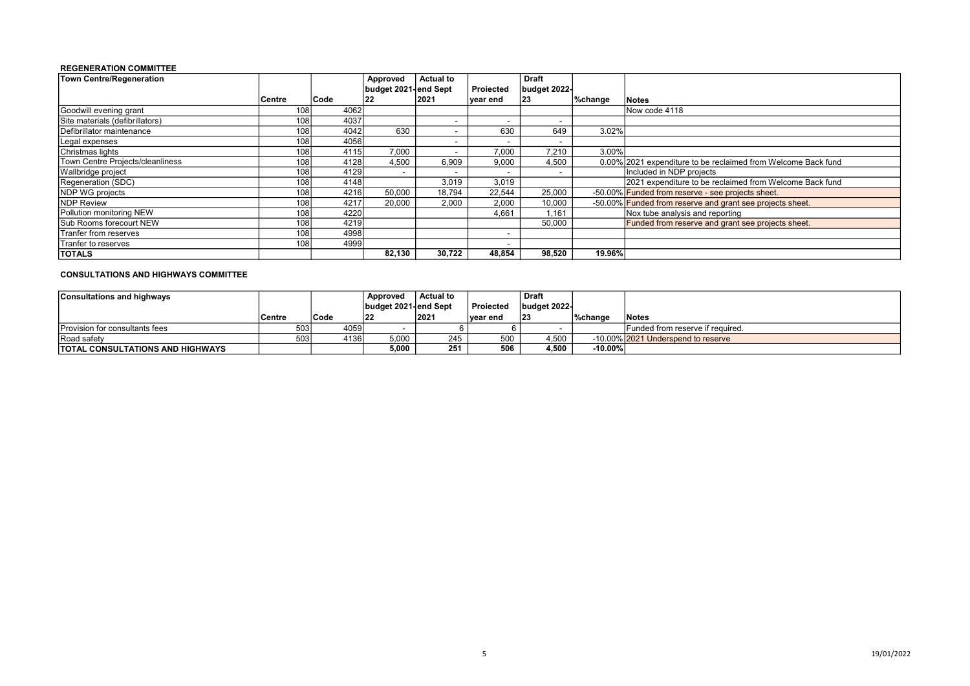#### REGENERATION COMMITTEE

| Town Centre/Regeneration         |                  |      | Approved                 | <b>Actual to</b>         |           | <b>Draft</b> |         |                                                               |
|----------------------------------|------------------|------|--------------------------|--------------------------|-----------|--------------|---------|---------------------------------------------------------------|
|                                  |                  |      | budget 2021-lend Sept    |                          | Projected | budget 2022- |         |                                                               |
|                                  | <b>Centre</b>    | Code | 22                       | 2021                     | year end  | 23           | %change | <b>Notes</b>                                                  |
| Goodwill evening grant           | 108 <sub>1</sub> | 4062 |                          |                          |           |              |         | Now code 4118                                                 |
| Site materials (defibrillators)  | 108 <sub>1</sub> | 4037 |                          | $\overline{\phantom{a}}$ |           |              |         |                                                               |
| Defibrillator maintenance        | 108              | 4042 | 630                      | $\overline{\phantom{a}}$ | 630       | 649          | 3.02%   |                                                               |
| Legal expenses                   | 108 <sub>1</sub> | 4056 |                          | $\overline{\phantom{a}}$ |           |              |         |                                                               |
| Christmas lights                 | 1081             | 4115 | 7.000                    | $\overline{\phantom{a}}$ | 7.000     | 7.210        | 3.00%   |                                                               |
| Town Centre Projects/cleanliness | 1081             | 4128 | 4,500                    | 6,909                    | 9.000     | 4,500        |         | 0.00% 2021 expenditure to be reclaimed from Welcome Back fund |
| Wallbridge project               | 108              | 4129 | $\overline{\phantom{a}}$ | $\overline{\phantom{a}}$ |           |              |         | Included in NDP projects                                      |
| Regeneration (SDC)               | 108 <sub>1</sub> | 4148 |                          | 3,019                    | 3,019     |              |         | 2021 expenditure to be reclaimed from Welcome Back fund       |
| NDP WG projects                  | 108              | 4216 | 50,000                   | 18.794                   | 22.544    | 25,000       |         | -50.00% Funded from reserve - see projects sheet.             |
| <b>NDP Review</b>                | 108              | 4217 | 20.000                   | 2,000                    | 2,000     | 10,000       |         | -50.00% Funded from reserve and grant see projects sheet.     |
| Pollution monitoring NEW         | 108              | 4220 |                          |                          | 4,661     | .161         |         | Nox tube analysis and reporting                               |
| <b>Sub Rooms forecourt NEW</b>   | 108              | 4219 |                          |                          |           | 50,000       |         | Funded from reserve and grant see projects sheet.             |
| Tranfer from reserves            | 108              | 4998 |                          |                          |           |              |         |                                                               |
| Tranfer to reserves              | 108 <sub>1</sub> | 4999 |                          |                          |           |              |         |                                                               |
| <b>TOTALS</b>                    |                  |      | 82,130                   | 30.722                   | 48.854    | 98.520       | 19.96%  |                                                               |

#### CONSULTATIONS AND HIGHWAYS COMMITTEE

| <b>Consultations and highways</b>       |        |       | Approved             | <b>Actual to</b> |           | ˈ Draft      |            |                                    |
|-----------------------------------------|--------|-------|----------------------|------------------|-----------|--------------|------------|------------------------------------|
|                                         |        |       | budget 2021-end Sept |                  | Projected | budget 2022- |            |                                    |
|                                         | Centre | 'Code | 122                  | 2021             | lvear end | 23           | l%chanɑe   | <b>Notes</b>                       |
| <b>Provision for consultants fees</b>   | 503    | 40591 |                      |                  |           |              |            | Funded from reserve if required.   |
| Road safety                             |        | 41361 | 5.000                | 245              | 500       | 4,500        |            | -10.00% 2021 Underspend to reserve |
| <b>TOTAL CONSULTATIONS AND HIGHWAYS</b> |        |       | 5.000                | 251              | 506       | 4,500        | $-10.00\%$ |                                    |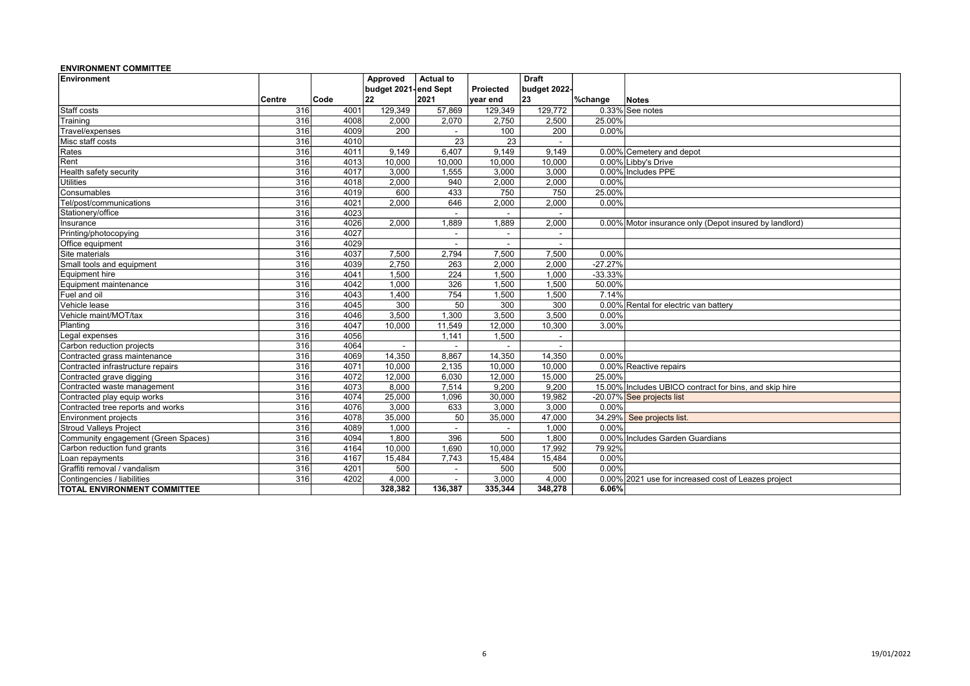#### ENVIRONMENT COMMITTEE

| Environment                         |                  |      | Approved             | <b>Actual to</b>         |                          | <b>Draft</b> |           |                                                        |
|-------------------------------------|------------------|------|----------------------|--------------------------|--------------------------|--------------|-----------|--------------------------------------------------------|
|                                     |                  |      | budget 2021-end Sept |                          | Projected                | budget 2022- |           |                                                        |
|                                     | <b>Centre</b>    | Code | 22                   | 2021                     | year end                 | 23           | %change   | Notes                                                  |
| Staff costs                         | 316              | 4001 | 129,349              | 57,869                   | 129,349                  | 129,772      |           | 0.33% See notes                                        |
| Training                            | 316              | 4008 | 2,000                | 2,070                    | 2,750                    | 2,500        | 25.00%    |                                                        |
| Travel/expenses                     | 316              | 4009 | 200                  |                          | 100                      | 200          | 0.00%     |                                                        |
| Misc staff costs                    | 316              | 4010 |                      | $\overline{23}$          | 23                       |              |           |                                                        |
| Rates                               | 316              | 4011 | 9,149                | 6.407                    | 9.149                    | 9.149        |           | 0.00% Cemetery and depot                               |
| Rent                                | 316              | 4013 | 10,000               | 10,000                   | 10,000                   | 10,000       |           | 0.00% Libby's Drive                                    |
| Health safety security              | 316              | 4017 | 3.000                | 1,555                    | 3.000                    | 3.000        |           | 0.00% Includes PPE                                     |
| <b>Utilities</b>                    | 316              | 4018 | 2,000                | 940                      | 2,000                    | 2,000        | 0.00%     |                                                        |
| Consumables                         | 316              | 4019 | 600                  | 433                      | 750                      | 750          | 25.00%    |                                                        |
| Tel/post/communications             | 316              | 4021 | 2,000                | 646                      | 2,000                    | 2,000        | 0.00%     |                                                        |
| Stationery/office                   | 316              | 4023 |                      | $\sim$                   |                          |              |           |                                                        |
| Insurance                           | 316              | 4026 | 2,000                | 1,889                    | 1,889                    | 2,000        |           | 0.00% Motor insurance only (Depot insured by landlord) |
| Printing/photocopying               | 316              | 4027 |                      | $\sim$                   | $\sim$                   |              |           |                                                        |
| Office equipment                    | 316              | 4029 |                      | $\overline{\phantom{a}}$ |                          |              |           |                                                        |
| Site materials                      | 316              | 4037 | 7,500                | 2,794                    | 7,500                    | 7,500        | 0.00%     |                                                        |
| Small tools and equipment           | 316              | 4039 | 2.750                | 263                      | 2.000                    | 2.000        | $-27.27%$ |                                                        |
| Equipment hire                      | 316              | 4041 | 1,500                | 224                      | 1,500                    | 1,000        | $-33.33%$ |                                                        |
| Equipment maintenance               | 316              | 4042 | 1,000                | 326                      | 1,500                    | 1,500        | 50.00%    |                                                        |
| Fuel and oil                        | 316              | 4043 | 1,400                | 754                      | 1,500                    | 1,500        | 7.14%     |                                                        |
| Vehicle lease                       | $\overline{316}$ | 4045 | 300                  | 50                       | 300                      | 300          |           | 0.00% Rental for electric van battery                  |
| Vehicle maint/MOT/tax               | 316              | 4046 | 3,500                | 1,300                    | 3,500                    | 3,500        | 0.00%     |                                                        |
| Planting                            | 316              | 4047 | 10,000               | 11,549                   | 12,000                   | 10,300       | 3.00%     |                                                        |
| Legal expenses                      | 316              | 4056 |                      | 1,141                    | 1,500                    |              |           |                                                        |
| Carbon reduction projects           | 316              | 4064 | $\blacksquare$       | $\sim$                   | $\sim$                   |              |           |                                                        |
| Contracted grass maintenance        | 316              | 4069 | 14,350               | 8,867                    | 14,350                   | 14,350       | 0.00%     |                                                        |
| Contracted infrastructure repairs   | 316              | 4071 | 10,000               | 2,135                    | 10,000                   | 10,000       |           | 0.00% Reactive repairs                                 |
| Contracted grave digging            | 316              | 4072 | 12,000               | 6,030                    | 12,000                   | 15,000       | 25.00%    |                                                        |
| Contracted waste management         | 316              | 4073 | 8.000                | 7,514                    | 9,200                    | 9.200        |           | 15.00% Includes UBICO contract for bins, and skip hire |
| Contracted play equip works         | 316              | 4074 | 25,000               | 1,096                    | 30,000                   | 19,982       |           | -20.07% See projects list                              |
| Contracted tree reports and works   | 316              | 4076 | 3,000                | 633                      | 3,000                    | 3,000        | 0.00%     |                                                        |
| Environment projects                | 316              | 4078 | 35,000               | 50                       | 35,000                   | 47,000       |           | 34.29% See projects list.                              |
| <b>Stroud Valleys Project</b>       | 316              | 4089 | 1,000                | $\sim$                   | $\overline{\phantom{a}}$ | 1,000        | 0.00%     |                                                        |
| Community engagement (Green Spaces) | 316              | 4094 | 1,800                | 396                      | 500                      | 1.800        |           | 0.00% Includes Garden Guardians                        |
| Carbon reduction fund grants        | 316              | 4164 | 10,000               | 1,690                    | 10,000                   | 17,992       | 79.92%    |                                                        |
| Loan repayments                     | 316              | 4167 | 15,484               | 7,743                    | 15,484                   | 15,484       | 0.00%     |                                                        |
| Graffiti removal / vandalism        | 316              | 4201 | 500                  | $\overline{\phantom{a}}$ | 500                      | 500          | 0.00%     |                                                        |
| Contingencies / liabilities         | 316              | 4202 | 4,000                | $\sim$                   | 3,000                    | 4,000        |           | 0.00% 2021 use for increased cost of Leazes project    |
| <b>TOTAL ENVIRONMENT COMMITTEE</b>  |                  |      | 328,382              | 136,387                  | 335,344                  | 348,278      | 6.06%     |                                                        |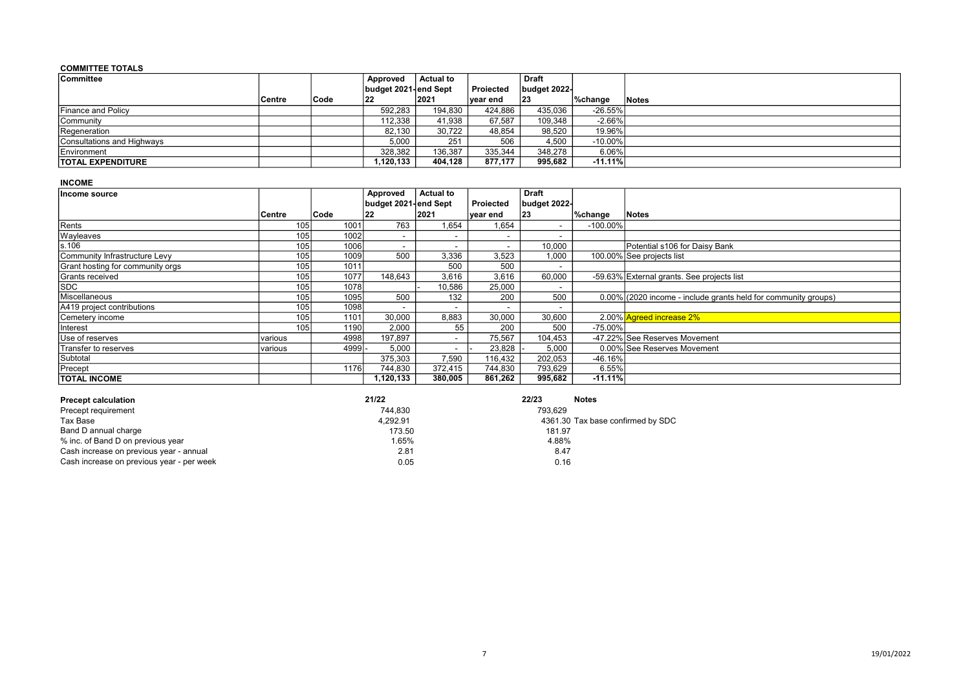#### COMMITTEE TOTALS

| Committee                  |         |      | Approved             | ∣ Actual to |           | <b>Draft</b> |            |       |
|----------------------------|---------|------|----------------------|-------------|-----------|--------------|------------|-------|
|                            |         |      | budget 2021-end Sept |             | Proiected | budget 2022- |            |       |
|                            | ∣Centre | Code | 22                   | 2021        | ∣vear end | $ 23\rangle$ | %change    | Notes |
| <b>IFinance and Policy</b> |         |      | 592,283              | 194,830     | 424.886   | 435,036      | $-26.55%$  |       |
| Community                  |         |      | 112,338              | 41,938      | 67.587    | 109.348      | $-2.66%$   |       |
| Regeneration               |         |      | 82,130               | 30.722      | 48.854    | 98.520       | 19.96%     |       |
| Consultations and Highways |         |      | 5.000                | 251         | 506       | 4,500        | $-10.00\%$ |       |
| Environment                |         |      | 328,382              | 136,387     | 335,344   | 348,278      | 6.06%      |       |
| <b>TOTAL EXPENDITURE</b>   |         |      | 1,120,133            | 404,128     | 877.177   | 995,682      | $-11.11%$  |       |

#### INCOME

| Income source                    |                  |        | Approved                 | <b>Actual to</b>         |                          | Draft                    |             |                                                                |
|----------------------------------|------------------|--------|--------------------------|--------------------------|--------------------------|--------------------------|-------------|----------------------------------------------------------------|
|                                  |                  |        | budget 2021-end Sept     |                          | Proiected                | budget 2022-             |             |                                                                |
|                                  | Centre           | Code   | 22                       | 2021                     | year end                 | 23                       | %change     | <b>Notes</b>                                                   |
| Rents                            | 105              | 1001   | 763                      | 1,654                    | 1,654                    |                          | $-100.00\%$ |                                                                |
| Wayleaves                        | 105 <sub>1</sub> | 1002   |                          | -                        |                          |                          |             |                                                                |
| s.106                            | 105              | 1006   | $\overline{\phantom{0}}$ | -                        | $\overline{\phantom{a}}$ | 10,000                   |             | Potential s106 for Daisy Bank                                  |
| Community Infrastructure Levy    | 105              | 1009   | 500                      | 3,336                    | 3,523                    | 1,000                    |             | 100.00% See projects list                                      |
| Grant hosting for community orgs | 105              | 1011   |                          | 500                      | 500                      | $\overline{\phantom{a}}$ |             |                                                                |
| Grants received                  | 105 <sub>1</sub> | 1077   | 148,643                  | 3,616                    | 3,616                    | 60,000                   |             | -59.63% External grants. See projects list                     |
| <b>SDC</b>                       | 105              | 1078   |                          | 10,586                   | 25,000                   | $\overline{\phantom{a}}$ |             |                                                                |
| Miscellaneous                    | 105              | 1095   | 500                      | 132                      | 200                      | 500                      |             | 0.00% (2020 income - include grants held for community groups) |
| A419 project contributions       | 105              | 1098   |                          | -                        |                          |                          |             |                                                                |
| Cemetery income                  | 105              | 1101   | 30,000                   | 8,883                    | 30,000                   | 30,600                   |             | 2.00% Agreed increase 2%                                       |
| Interest                         | 105              | 1190   | 2,000                    | 55                       | 200                      | 500                      | $-75.00\%$  |                                                                |
| Use of reserves                  | various          | 4998   | 197,897                  | -                        | 75,567                   | 104,453                  |             | -47.22% See Reserves Movement                                  |
| Transfer to reserves             | various          | 4999   | 5,000                    | $\overline{\phantom{a}}$ | 23,828                   | 5,000                    |             | 0.00% See Reserves Movement                                    |
| Subtotal                         |                  |        | 375,303                  | 7,590                    | 116,432                  | 202,053                  | $-46.16%$   |                                                                |
| Precept                          |                  | 1176 l | 744,830                  | 372,415                  | 744,830                  | 793,629                  | 6.55%       |                                                                |
| <b>TOTAL INCOME</b>              |                  |        | 1,120,133                | 380,005                  | 861,262                  | 995,682                  | $-11.11\%$  |                                                                |

| <b>Precept calculation</b>                | 21/22    | 22/23   | <b>Notes</b>                      |
|-------------------------------------------|----------|---------|-----------------------------------|
| Precept requirement                       | 744.830  | 793.629 |                                   |
| Tax Base                                  | 4.292.91 |         | 4361.30 Tax base confirmed by SDC |
| Band D annual charge                      | 173.50   | 181.97  |                                   |
| % inc. of Band D on previous year         | l.65%    | 4.88%   |                                   |
| Cash increase on previous year - annual   | 2.81     | 8.47    |                                   |
| Cash increase on previous year - per week | 0.05     | 0.16    |                                   |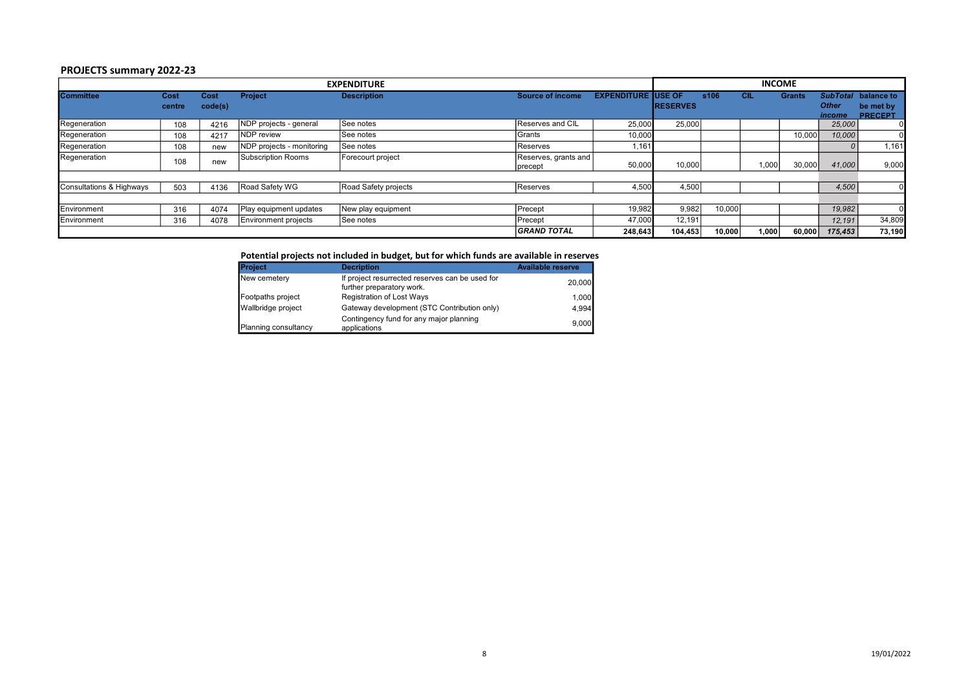### PROJECTS summary 2022-23

| <b>EXPENDITURE</b>                  |                |                 |                             |                      |                                 |                            |                 |        |       | <b>INCOME</b> |                                           |                                           |
|-------------------------------------|----------------|-----------------|-----------------------------|----------------------|---------------------------------|----------------------------|-----------------|--------|-------|---------------|-------------------------------------------|-------------------------------------------|
| <b>Committee</b>                    | Cost<br>centre | Cost<br>code(s) | <b>Project</b>              | <b>Description</b>   | <b>Source of income</b>         | <b>EXPENDITURE JUSE OF</b> | <b>RESERVES</b> | s106   | СIL   | <b>Grants</b> | <b>SubTotal</b><br><b>Other</b><br>income | balance to<br>be met by<br><b>PRECEPT</b> |
| Regeneration                        | 108            | 4216            | NDP projects - general      | See notes            | Reserves and CIL                | 25,000                     | 25,000          |        |       |               | 25,000                                    |                                           |
| Regeneration                        | 108            | 4217            | <b>NDP</b> review           | <b>See notes</b>     | Grants                          | 10,000                     |                 |        |       | 10,000        | 10,000                                    |                                           |
| Regeneration                        | 108            | new             | NDP projects - monitoring   | See notes            | <b>Reserves</b>                 | 1,161                      |                 |        |       |               |                                           | 1,161                                     |
| Regeneration                        | 108            | new             | Subscription Rooms          | Forecourt project    | Reserves, grants and<br>precept | 50,000                     | 10,000          |        | 1,000 | 30,000        | 41,000                                    | 9,000                                     |
|                                     |                |                 |                             |                      |                                 |                            |                 |        |       |               |                                           |                                           |
| <b>Consultations &amp; Highways</b> | 503            | 4136            | Road Safety WG              | Road Safety projects | Reserves                        | 4,500                      | 4,500           |        |       |               | 4,500                                     |                                           |
|                                     |                |                 |                             |                      |                                 |                            |                 |        |       |               |                                           |                                           |
| Environment                         | 316            | 4074            | Play equipment updates      | New play equipment   | Precept                         | 19,982                     | 9,982           | 10,000 |       |               | 19,982                                    |                                           |
| Environment                         | 316            | 4078            | <b>Environment projects</b> | See notes            | <b>Precept</b>                  | 47,000                     | 12.191          |        |       |               | 12,191                                    | 34,809                                    |
|                                     |                |                 |                             |                      | <b>GRAND TOTAL</b>              | 248,643                    | 104,453         | 10,000 | 1,000 | 60,000        | 175,453                                   | 73,190                                    |

| Potential projects not included in budget, but for which funds are available in reserves |                                                                              |                          |  |  |  |  |  |  |  |
|------------------------------------------------------------------------------------------|------------------------------------------------------------------------------|--------------------------|--|--|--|--|--|--|--|
| <b>Project</b>                                                                           | <b>Decription</b>                                                            | <b>Available reserve</b> |  |  |  |  |  |  |  |
| New cemetery                                                                             | If project resurrected reserves can be used for<br>further preparatory work. | 20,000                   |  |  |  |  |  |  |  |
| Footpaths project                                                                        | <b>Registration of Lost Ways</b>                                             | 1,000                    |  |  |  |  |  |  |  |
| Wallbridge project                                                                       | Gateway development (STC Contribution only)                                  | 4,994                    |  |  |  |  |  |  |  |
| Planning consultancy                                                                     | Contingency fund for any major planning<br>applications                      | 9,000                    |  |  |  |  |  |  |  |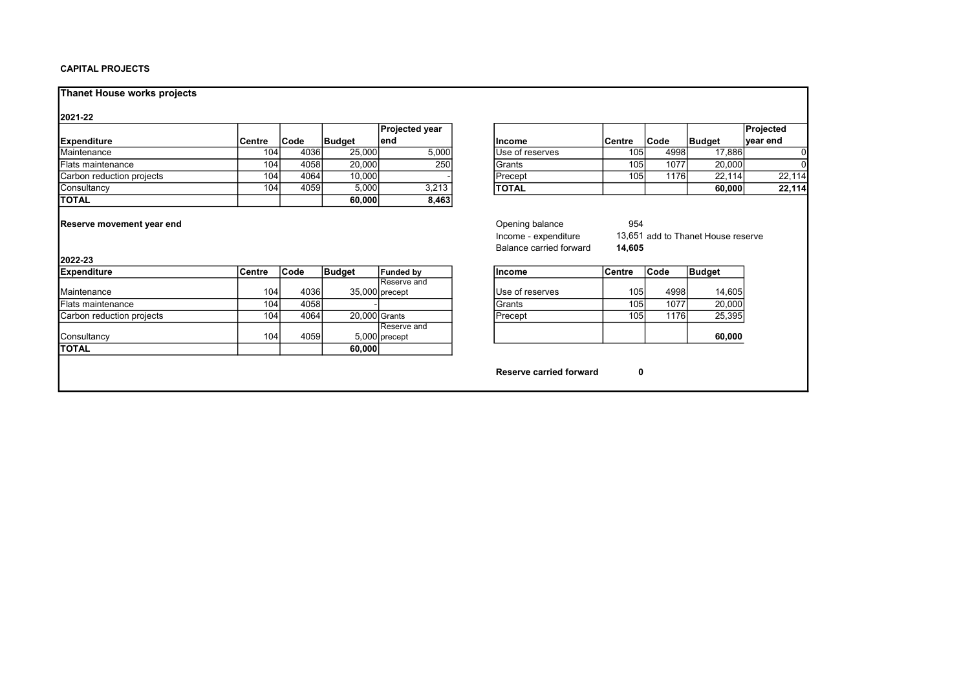#### CAPITAL PROJECTS

### Thanet House works projects

#### 2021-22

|                           |        |       |               | <b>Projected vear</b> |                         |                  |       |               | Projected |
|---------------------------|--------|-------|---------------|-----------------------|-------------------------|------------------|-------|---------------|-----------|
| Expenditure               | Centre | lCode | <b>Budaet</b> | lend                  | lincome                 | lCentre          | Code  | <b>Budget</b> | ∣vear end |
| Maintenance               | 104    | 4036  | 25,000        | 5,000                 | <b>IUse of reserves</b> | 1051             | 49981 | 17,8861       |           |
| <b>IFlats maintenance</b> | 104    | 4058  | 20,000        | 250                   | IGrants                 | 105 <sub>1</sub> | 1077  | 20,000        |           |
| Carbon reduction projects | 104    | 4064  | 10.000        |                       | <b>IPrecept</b>         | 105 <sub>1</sub> | 1176  | 22.114        | 22.114    |
| <b>Consultancy</b>        | 104    | 4059  | 5,000         | 3.213                 | <b>TOTAL</b>            |                  |       | 60.000        | 22.114    |
| <b>TOTAL</b>              |        |       | 60.000        | 8,463                 |                         |                  |       |               |           |

| Projected year |                  |                  |       |               | Projected |
|----------------|------------------|------------------|-------|---------------|-----------|
| end            | lincome          | lCentre          | lCode | <b>Budget</b> | ∣vear end |
| 5,000          | iUse of reserves | 105 <sub>l</sub> | 4998  | 17.886        |           |
| 250            | Grants           | 105              | 1077  | 20,000        |           |
|                | Precept          | 105              | 1176l | 22.114        | 22.114    |
| 3,213          | <b>TOTAL</b>     |                  |       | 60,000        | 22.114    |

Reserve movement year end<br>
Reserve movement year end<br>
13.651<br>
Opening balance<br>
Opening balance<br>
Opening balance<br>
Opening balance<br>
Opening balance<br>
Opening balance<br>
13.651

| <b>IExpenditure</b>       | lCentre          | <b>Code</b> | Budget | <b>Funded by</b> | <b>Income</b>   | lCentre          | <b>Code</b> | Budget |
|---------------------------|------------------|-------------|--------|------------------|-----------------|------------------|-------------|--------|
|                           |                  |             |        | Reserve and      |                 |                  |             |        |
| Maintenance               | 104 <sub>1</sub> | 4036        |        | 35.000 precept   | Use of reserves | 1051             | 4998l       | 14,605 |
| <b>Flats maintenance</b>  | 104              | 4058        |        |                  | IGrants         | 105i             | 1077        | 20,000 |
| Carbon reduction projects | 1041             | 4064        |        | 20.000 Grants    | Precept         | 105 <sub>1</sub> | 11761       | 25,395 |
|                           |                  |             |        | Reserve and      |                 |                  |             |        |
| Consultancy               | 104.             | 4059        |        | 5.000 precept    |                 |                  |             | 60,000 |
| <b>ITOTAL</b>             |                  |             | 60,000 |                  |                 |                  |             |        |

| Income - expenditure<br>Balance carried forward |        | 13,651 add to Thanet House reserve<br>14,605 |               |  |  |  |  |  |
|-------------------------------------------------|--------|----------------------------------------------|---------------|--|--|--|--|--|
| <b>Income</b>                                   | Centre | Code                                         | <b>Budget</b> |  |  |  |  |  |
| Use of reserves                                 | 105    | 4998                                         | 14,605        |  |  |  |  |  |
| <b>IGrants</b>                                  | 105    |                                              |               |  |  |  |  |  |

|             | ıoranıs  | וכטו             | 1 U 7 Z | ZU.UUUT |
|-------------|----------|------------------|---------|---------|
| Grants      | 'Precept | 105 <sub>1</sub> | 1176    | 25.395  |
| Reserve and |          |                  |         |         |
| precept     |          |                  |         | 60.000  |

Reserve carried forward 0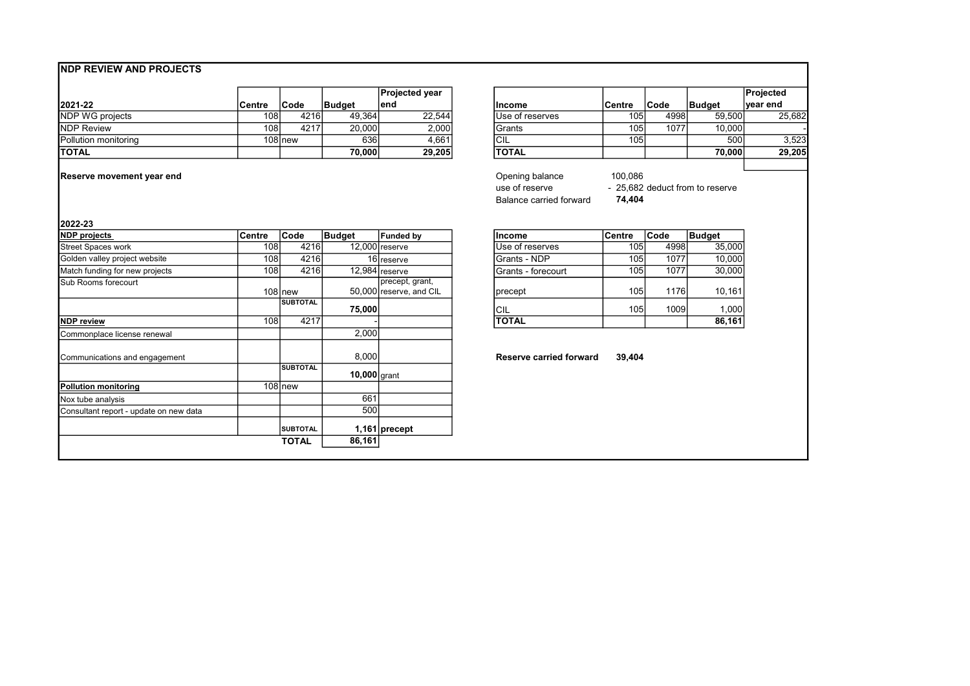## NDP REVIEW AND PROJECTS

|                             |        |          |               | ∣Proiected vear |                  |                  |       |               | <b>Projected</b> |
|-----------------------------|--------|----------|---------------|-----------------|------------------|------------------|-------|---------------|------------------|
| 2021-22                     | Centre | 'Code    | <b>Budaet</b> | lend            | lincome          | <b>Centre</b>    | ∣Code | <b>Budget</b> | ∣vear end        |
| <b>NDP WG projects</b>      | 108    | 4216     | 49,364        | 22.544          | IUse of reserves | 105              | 4998  | 59.500        | 25,682           |
| <b>NDP Review</b>           | 108    | 4217     | 20,000        | 2,000           | IGrants          | 105 <sub>1</sub> | 1077  | 10.000        |                  |
| <b>Pollution monitoring</b> |        | 108 Inew | 636           | 4.661           | <b>ICIL</b>      | 1051             |       | 500           | 3,523            |
| <b>ITOTAL</b>               |        |          | 70.000        | 29.205          | <b>TOTAL</b>     |                  |       | 70,000        | <b>29.205</b>    |

Reserve movement year end

| Projected year |                 |         |      |               | Projected |
|----------------|-----------------|---------|------|---------------|-----------|
| end            | Income          | Centre  | Code | <b>Budget</b> | ∣vear end |
| 22,544         | Use of reserves | 105     | 4998 | 59,500        | 25,682    |
| 2,000          | Grants          | 105     | 1077 | 10,000        |           |
| 4,661          | CIL             | 105     |      | 500           | 3,523     |
| 29,205         | <b>TOTAL</b>    |         |      | 70,000        | 29,205    |
|                |                 |         |      |               |           |
|                | Opening balance | 100,086 |      |               |           |

|                         | .                               |
|-------------------------|---------------------------------|
| use of reserve          | - 25,682 deduct from to reserve |
| Balance carried forward | 74,404                          |

#### 2022-23

| <b>NDP</b> projects                    | Centre | <b>Code</b>     | Budget         | Funded bv               | lincome                        | Centre           | <b>Code</b> | Budget |
|----------------------------------------|--------|-----------------|----------------|-------------------------|--------------------------------|------------------|-------------|--------|
| <b>Street Spaces work</b>              | 108    | 4216            |                | $12,000$ reserve        | Use of reserves                | 105              | 4998        | 35,000 |
| Golden valley project website          | 108    | 4216            |                | 16 reserve              | lGrants - NDP                  | 105l             | 1077        | 10,000 |
| Match funding for new projects         | 108    | 4216            |                | $12,984$ reserve        | IGrants - forecourt            | 105              | 1077        | 30,000 |
| Sub Rooms forecourt                    |        |                 |                | precept, grant,         |                                |                  |             |        |
|                                        |        | 108 Inew        |                | 50,000 reserve, and CIL | precept                        | 105l             | 1176l       | 10,161 |
|                                        |        | <b>SUBTOTAL</b> | 75,000         |                         | <b>CIL</b>                     | 105 <sub>l</sub> | 1009        | 1,000  |
| <b>NDP</b> review                      | 108    | 4217            |                |                         | <b>TOTAL</b>                   |                  |             | 86,161 |
| Commonplace license renewal            |        |                 | 2,000          |                         |                                |                  |             |        |
| Communications and engagement          |        |                 | 8,000          |                         | <b>Reserve carried forward</b> | 39,404           |             |        |
|                                        |        | SUBTOTAL        | $10,000$ grant |                         |                                |                  |             |        |
| <b>Pollution monitoring</b>            |        | 108 new         |                |                         |                                |                  |             |        |
| Nox tube analysis                      |        |                 | 661            |                         |                                |                  |             |        |
| Consultant report - update on new data |        |                 | 500            |                         |                                |                  |             |        |
|                                        |        | <b>SUBTOTAL</b> |                | $1,161$ precept         |                                |                  |             |        |
|                                        |        | <b>TOTAL</b>    | 86,161         |                         |                                |                  |             |        |

| <b>Budget</b> | <b>Funded by</b>                           | ilncome            | <b>Centre</b> | lCode | Budget |
|---------------|--------------------------------------------|--------------------|---------------|-------|--------|
|               | 12.000 reserve                             | Use of reserves    | 105           | 49981 | 35,000 |
|               | 16Ireserve                                 | Grants - NDP       | 105           | 1077  | 10,000 |
|               | 12,984 reserve                             | Grants - forecourt | 105           | 1077  | 30,000 |
|               | precept, grant,<br>50,000 reserve, and CIL | precept            | 105           | 1176l | 10.161 |
| 75,000        |                                            | <b>CIL</b>         | 105           | 1009l | 1,000  |
| ۰             |                                            | <b>TOTAL</b>       |               |       | 86,161 |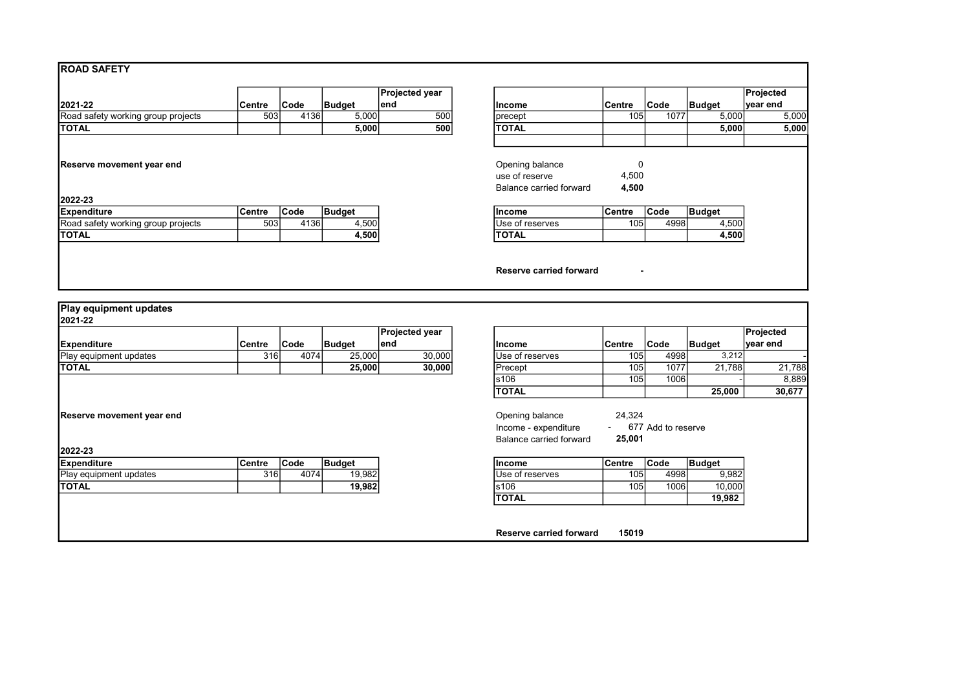|  | <b>ROAD SAFETY</b> |
|--|--------------------|
|--|--------------------|

|                                      |               |             |               | <b>Projected year</b> |                                                              |                     |             |        | Projected |
|--------------------------------------|---------------|-------------|---------------|-----------------------|--------------------------------------------------------------|---------------------|-------------|--------|-----------|
| 2021-22                              | <b>Centre</b> | <b>Code</b> | <b>Budget</b> | lend                  | lincome                                                      | <b>Centre</b>       | <b>Code</b> | Budget | ∣vear end |
| Road safety working group projects   | 503           | 4136        | 5,000         | 500                   | precept                                                      | 105                 | 1077        | 5,000  |           |
| <b>TOTAL</b>                         |               |             | 5,000         | 500                   | <b>TOTAL</b>                                                 |                     |             | 5,000  |           |
| Reserve movement year end<br>2022-23 |               |             |               |                       | Opening balance<br>use of reserve<br>Balance carried forward | 0<br>4,500<br>4,500 |             |        |           |
| <b>Expenditure</b>                   | <b>Centre</b> | Code        | <b>Budget</b> |                       | lincome                                                      | Centre              | <b>Code</b> | Budget |           |
| Road safety working group projects   | 503           | 4136        | 4,500         |                       | Use of reserves                                              | 105 <sub>l</sub>    | 4998        | 4,500  |           |
| Ιτοται                               |               |             | 4,500         |                       | <b>TOTAL</b>                                                 |                     |             | 4,500  |           |

| Projected year<br>end | Income                                                       | Centre              | Code | <b>Budget</b> | Projected<br>year end |
|-----------------------|--------------------------------------------------------------|---------------------|------|---------------|-----------------------|
| 500                   | precept                                                      | 105                 | 1077 | 5,000         | 5,000                 |
| 500                   | <b>TOTAL</b>                                                 |                     |      | 5,000         | 5,000                 |
|                       | Opening balance<br>use of reserve<br>Balance carried forward | 0<br>4,500<br>4,500 |      |               |                       |
|                       | Income                                                       | Centre              | Code | <b>Budget</b> |                       |
|                       | Use of reserves                                              | 105                 | 4998 | 4,500         |                       |
|                       | <b>TOTAL</b>                                                 |                     |      | 4,500         |                       |
|                       | Reserve carried forward                                      |                     |      |               |                       |

| 12021-22                      |         |      |               |                        |                  |                  |      |               |           |
|-------------------------------|---------|------|---------------|------------------------|------------------|------------------|------|---------------|-----------|
|                               |         |      |               | <b>IProjected vear</b> |                  |                  |      |               | Projected |
| <b>IExpenditure</b>           | ∣Centre | Code | <b>Budaet</b> | lend                   | lincome          | <b>Centre</b>    | Code | <b>Budaet</b> | vear end  |
| <b>Play equipment updates</b> | 316     | 4074 | 25,000        | 30,000                 | IUse of reserves | 105 <sub>1</sub> | 4998 | 3.212         |           |
| <b>ITOTAL</b>                 |         |      | 25.000        | 30,000                 | 'Precept         | 105.             | 1077 | 21,788        | 21,788    |

| <b>IExpenditure</b>    | Centre | Code | <b>Budget</b> | <b>Income</b>    | lCentre          | <b>Code</b> | <b>Budget</b> |
|------------------------|--------|------|---------------|------------------|------------------|-------------|---------------|
| Play equipment updates | 316    | 4074 | 19.982        | IUse of reserves | 105 <sub>1</sub> | 4998l       |               |
| <b>ITOTAL</b>          |        |      | 19.982        | s106             | 105              | 1006l       |               |
|                        |        |      |               | <b>TOTAL</b>     |                  |             |               |

|                           |        |             |               | Projected year |                         |        |                    |               | Projected |
|---------------------------|--------|-------------|---------------|----------------|-------------------------|--------|--------------------|---------------|-----------|
| <b>Expenditure</b>        | Centre | <b>Code</b> | <b>Budget</b> | lend           | Income                  | Centre | <b>Code</b>        | Budget        | ∣vear end |
| Play equipment updates    | 316    | 4074        | 25,000        | 30,000         | Use of reserves         | 105    | 4998               | 3,212         |           |
| TOTAL                     |        |             | 25,000        | 30,000         | Precept                 | 105    | 1077               | 21,788        | 21,788    |
|                           |        |             |               |                | s106                    | 105    | 1006               |               | 8,889     |
|                           |        |             |               |                | <b>TOTAL</b>            |        |                    | 25,000        | 30,677    |
|                           |        |             |               |                |                         |        |                    |               |           |
| Reserve movement year end |        |             |               |                | Opening balance         | 24,324 |                    |               |           |
|                           |        |             |               |                | Income - expenditure    | $\sim$ | 677 Add to reserve |               |           |
|                           |        |             |               |                | Balance carried forward | 25,001 |                    |               |           |
| 2022-23                   |        |             |               |                |                         |        |                    |               |           |
| Expenditure               | Centre | Code        | <b>Budget</b> |                | <b>Income</b>           | Centre | Code               | <b>Budget</b> |           |
| Play equipment updates    | 316    | 4074        | 19,982        |                | Use of reserves         | 105    | 4998               | 9,982         |           |
| TOTAL                     |        |             | 19,982        |                | s106                    | 105    | 1006               | 10,000        |           |
|                           |        |             |               |                | <b>TOTAL</b>            |        |                    | 19,982        |           |
|                           |        |             |               |                |                         |        |                    |               |           |
|                           |        |             |               |                |                         |        |                    |               |           |
|                           |        |             |               |                | Reserve carried forward | 15019  |                    |               |           |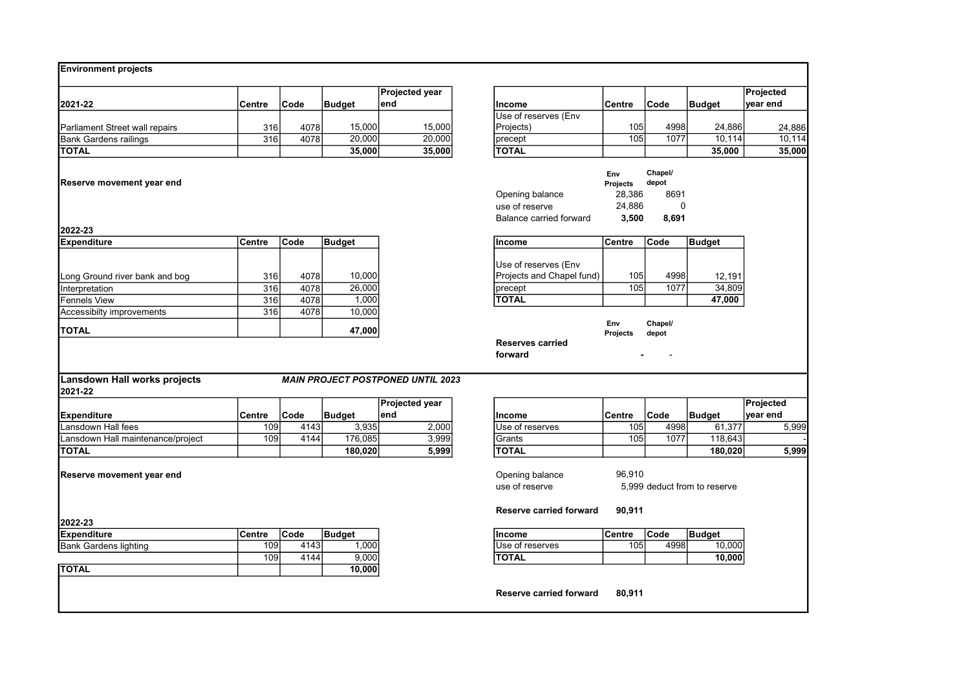### Environment projects

|                                |        |       |          | <b>Projected year</b> |                      |               |      |               | Projected |
|--------------------------------|--------|-------|----------|-----------------------|----------------------|---------------|------|---------------|-----------|
| 2021-22                        | Centre | 'Code | l Budaet | lend                  | Income               | <b>Centre</b> | Code | <b>Budaet</b> | vear end  |
|                                |        |       |          |                       | Use of reserves (Env |               |      |               |           |
| Parliament Street wall repairs | 316    | 40781 | 15.000   | 15.000l               | Projects)            | 105           | 4998 | 24,886        | 24.886    |
| <b>B</b> ank Gardens railings  | 316    | 4078  | 20,000   | 20,000                | precept              | 1051          | 1077 | 10.114        | 10.114    |
| <b>TOTAL</b>                   |        |       | 35,000   | 35,000                | <b>TOTAL</b>         |               |      | 35,000        | 35,000    |

#### Reserve movement year end

2022-23<br>Expenditure

| <b>Environment projects</b>       |        |      |                 |                                          |                                |                        |                  |                              |           |
|-----------------------------------|--------|------|-----------------|------------------------------------------|--------------------------------|------------------------|------------------|------------------------------|-----------|
|                                   |        |      |                 | Projected year                           |                                |                        |                  |                              | Projected |
| 2021-22                           | Centre | Code | <b>Budget</b>   | lend                                     | Income                         | Centre                 | <b>Code</b>      | Budget                       | year end  |
|                                   |        |      |                 |                                          | Use of reserves (Env           |                        |                  |                              |           |
| Parliament Street wall repairs    | 316    | 4078 | 15,000          | 15,000                                   | Projects)                      | 105                    | 4998             | 24,886                       | 24,886    |
| <b>Bank Gardens railings</b>      | 316    | 4078 | 20,000          | 20,000                                   | precept                        | 105                    | 1077             | 10,114                       | 10,114    |
| <b>TOTAL</b>                      |        |      | 35,000          | 35,000                                   | <b>TOTAL</b>                   |                        |                  | 35,000                       | 35,000    |
|                                   |        |      |                 |                                          |                                |                        |                  |                              |           |
|                                   |        |      |                 |                                          |                                | Env                    | Chapel/          |                              |           |
| Reserve movement year end         |        |      |                 |                                          |                                | Projects               | depot            |                              |           |
|                                   |        |      |                 |                                          | Opening balance                | 28,386                 | 8691             |                              |           |
|                                   |        |      |                 |                                          | use of reserve                 | 24,886                 | 0                |                              |           |
|                                   |        |      |                 |                                          | <b>Balance carried forward</b> | 3,500                  | 8,691            |                              |           |
| 2022-23                           |        |      |                 |                                          |                                |                        |                  |                              |           |
| <b>Expenditure</b>                | Centre | Code | <b>Budget</b>   |                                          | Income                         | Centre                 | Code             | Budget                       |           |
|                                   |        |      |                 |                                          |                                |                        |                  |                              |           |
|                                   |        |      |                 |                                          | Use of reserves (Env           |                        |                  |                              |           |
| Long Ground river bank and bog    | 316    | 4078 | 10,000          |                                          | Projects and Chapel fund)      | 105                    | 4998             | 12.191                       |           |
| Interpretation                    | 316    | 4078 | 26,000          |                                          | precept                        | 105                    | 1077             | 34,809                       |           |
| Fennels View                      | 316    | 4078 | 1,000           |                                          | <b>TOTAL</b>                   |                        |                  | 47,000                       |           |
| Accessibilty improvements         | 316    | 4078 | 10,000          |                                          |                                |                        |                  |                              |           |
| <b>TOTAL</b>                      |        |      | 47,000          |                                          |                                | Env<br><b>Projects</b> | Chapel/<br>depot |                              |           |
|                                   |        |      |                 |                                          | <b>Reserves carried</b>        |                        |                  |                              |           |
|                                   |        |      |                 |                                          | forward                        |                        |                  |                              |           |
|                                   |        |      |                 |                                          |                                |                        |                  |                              |           |
| Lansdown Hall works projects      |        |      |                 | <b>MAIN PROJECT POSTPONED UNTIL 2023</b> |                                |                        |                  |                              |           |
| 2021-22                           |        |      |                 |                                          |                                |                        |                  |                              |           |
|                                   |        |      |                 | <b>Projected year</b>                    |                                |                        |                  |                              | Projected |
| Expenditure                       | Centre | Code | <b>Budget</b>   | lend                                     | Income                         | Centre                 | Code             | Budget                       | year end  |
| Lansdown Hall fees                | 109    | 4143 | 3,935           | 2,000                                    | Use of reserves                | 105                    | 4998             | 61,377                       | 5,999     |
| Lansdown Hall maintenance/project | 109    | 4144 | 176,085         | 3,999                                    | Grants                         | 105                    | 1077             | 118,643                      |           |
| TOTAL                             |        |      | 180,020         | 5,999                                    | <b>TOTAL</b>                   |                        |                  | 180,020                      | 5,999     |
|                                   |        |      |                 |                                          |                                |                        |                  |                              |           |
| Reserve movement vear end         |        |      |                 |                                          | Opening balance                | 96,910                 |                  |                              |           |
|                                   |        |      |                 |                                          | use of reserve                 |                        |                  | 5,999 deduct from to reserve |           |
|                                   |        |      |                 |                                          |                                |                        |                  |                              |           |
|                                   |        |      |                 |                                          | <b>Reserve carried forward</b> | 90,911                 |                  |                              |           |
| 2022-23                           |        |      |                 |                                          |                                |                        |                  |                              |           |
| <b>Expenditure</b>                | Centre | Code | <b>Budget</b>   |                                          | <b>Income</b>                  | Centre                 | <b>Code</b>      | Budget                       |           |
| <b>Bank Gardens lighting</b>      | 109    | 4143 | 1,000           |                                          | Use of reserves                | 105                    | 4998             | 10,000                       |           |
|                                   | 109    | 4144 | 9,000           |                                          | <b>TOTAL</b>                   |                        |                  | 10,000                       |           |
| $T$ $T$ $A$ $I$                   |        |      | $\overline{AB}$ |                                          |                                |                        |                  |                              |           |

# 2021-22

#### Lansdown Hall works projects MAIN PROJECT POSTPONED UNTIL 2023

|                                   |        |      |         | <b>Projected vear</b> |                  |                  |      |                     | <b>Projected</b> |
|-----------------------------------|--------|------|---------|-----------------------|------------------|------------------|------|---------------------|------------------|
| Expenditure                       | Centre | Code | Budget  | lend                  | lincome          | Centre           | Code | <sup>1</sup> Budget | <b>∣vear end</b> |
| Lansdown Hall fees                | 109    | 4143 | 3,935   | 2,000                 | IUse of reserves | 105 <sub>1</sub> | 4998 | 61.377              | 5,999            |
| Lansdown Hall maintenance/project | 109l   | 4144 | 176,085 | 3,999                 | .Grants          | 105 <sub>1</sub> | 1077 | 118.643             |                  |
| <b>TOTAL</b>                      |        |      | 180,020 | 5,999                 | <b>TOTAL</b>     |                  |      | 180.020             | 5.999            |

| 2022-23               |        |       |                   |                  |                  |             |               |
|-----------------------|--------|-------|-------------------|------------------|------------------|-------------|---------------|
| Expenditure           | Centre | 'Code | Budaet            | Income           | Centre           | <b>Code</b> | <b>Budaet</b> |
| Bank Gardens lighting | 109    | 4143  | .000 <sub>1</sub> | IUse of reserves | 105 <sub>1</sub> | 4998        |               |
|                       | 1091   | 4144  | 9,000             | <b>TOTAL</b>     |                  |             |               |
| TOTAL                 |        |       | 10,000            |                  |                  |             |               |

Reserve carried forward 80,911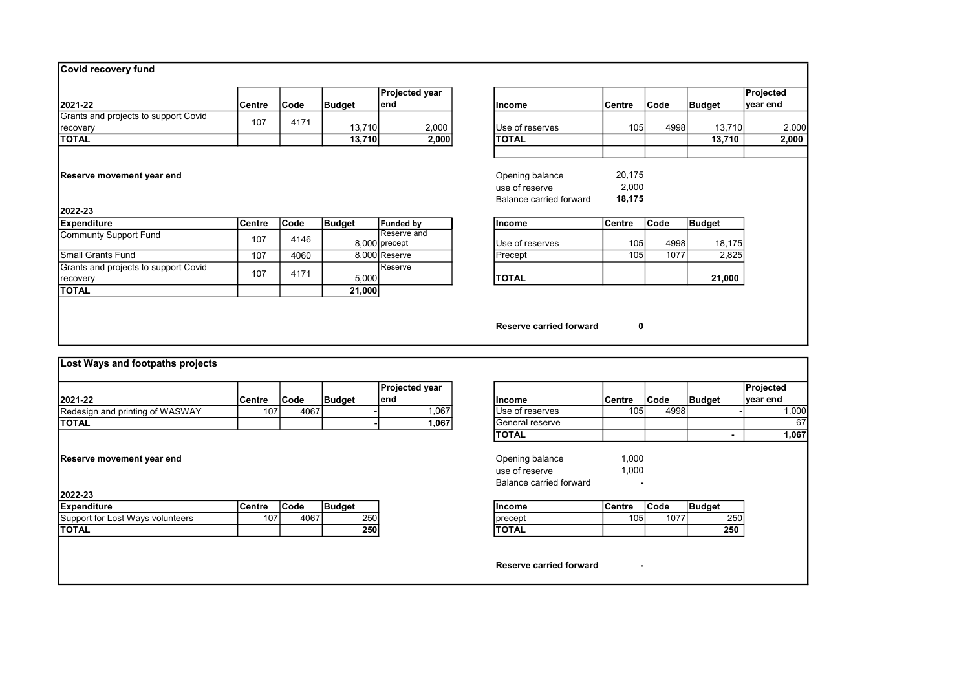|                                      |        |             |               | <b>Projected year</b>        |                         |               |             |        | Projected |
|--------------------------------------|--------|-------------|---------------|------------------------------|-------------------------|---------------|-------------|--------|-----------|
| 2021-22                              | Centre | <b>Code</b> | Budget        | lend                         | Income                  | Centre        | <b>Code</b> | Budget | year end  |
| Grants and projects to support Covid | 107    | 4171        |               |                              |                         |               |             |        |           |
| recovery                             |        |             | 13,710        | 2,000                        | Use of reserves         | 105           | 4998        | 13,710 | 2,000     |
| <b>TOTAL</b>                         |        |             | 13,710        | 2,000                        | <b>TOTAL</b>            |               |             | 13,710 | 2,000     |
| 2022-23                              |        |             |               |                              | Balance carried forward | 18,175        |             |        |           |
| <b>Expenditure</b>                   | Centre | <b>Code</b> | <b>Budget</b> | <b>Funded by</b>             | Income                  | <b>Centre</b> | <b>Code</b> | Budget |           |
| Communty Support Fund                | 107    | 4146        |               | Reserve and<br>8,000 precept | Use of reserves         | 105           | 4998        | 18,175 |           |
| <b>Small Grants Fund</b>             | 107    | 4060        |               | 8,000 Reserve                | Precept                 | 105           | 1077        | 2,825  |           |
| Grants and projects to support Covid |        |             |               | Reserve                      |                         |               |             |        |           |
| recovery                             | 107    | 4171        | 5,000         |                              | <b>TOTAL</b>            |               |             | 21,000 |           |
| <b>TOTAL</b>                         |        |             | 21,000        |                              |                         |               |             |        |           |

|        |                  |                                   | Projected<br>year end          |
|--------|------------------|-----------------------------------|--------------------------------|
|        |                  |                                   |                                |
|        | 4998             | 13,710                            | 2,                             |
|        |                  | 13,710                            | 2,0                            |
|        |                  |                                   |                                |
|        |                  |                                   |                                |
| 20,175 |                  |                                   |                                |
| 2,000  |                  |                                   |                                |
| 18,175 |                  |                                   |                                |
|        |                  |                                   |                                |
|        |                  |                                   |                                |
|        | 4998             | 18,175                            |                                |
|        | 1077             | 2,825                             |                                |
|        |                  | 21,000                            |                                |
|        | Centre<br>Centre | Code<br>105<br>Code<br>105<br>105 | <b>Budget</b><br><b>Budget</b> |

Reserve carried forward 0

|                                                                             |         |      |               | Projected year |                         |        |             |                | Projected |
|-----------------------------------------------------------------------------|---------|------|---------------|----------------|-------------------------|--------|-------------|----------------|-----------|
| 2021-22                                                                     | ∣Centre | Code | <b>Budget</b> | lend           | <b>Income</b>           | Centre | <b>Code</b> | Budget         | ∣vear end |
| Redesign and printing of WASWAY                                             | 107     | 4067 |               | 1,067          | Use of reserves         | 105    | 4998        |                | 1,000     |
| Ιτοται                                                                      |         |      |               | 1,067          | <b>IGeneral reserve</b> |        |             |                | 67        |
|                                                                             |         |      |               |                | <b>TOTAL</b>            |        |             | $\blacksquare$ | 1,067     |
|                                                                             |         |      |               |                | Income                  | Centre | <b>Code</b> | Budget         |           |
|                                                                             |         |      |               |                |                         |        |             |                |           |
|                                                                             | Centre  | Code | <b>Budget</b> |                |                         |        |             |                |           |
| 2022-23<br><b>Expenditure</b><br>Support for Lost Ways volunteers<br>Ιτοται | 107     | 4067 | 250<br>250    |                | precept<br><b>TOTAL</b> | 105    | 1077        | 250<br>250     |           |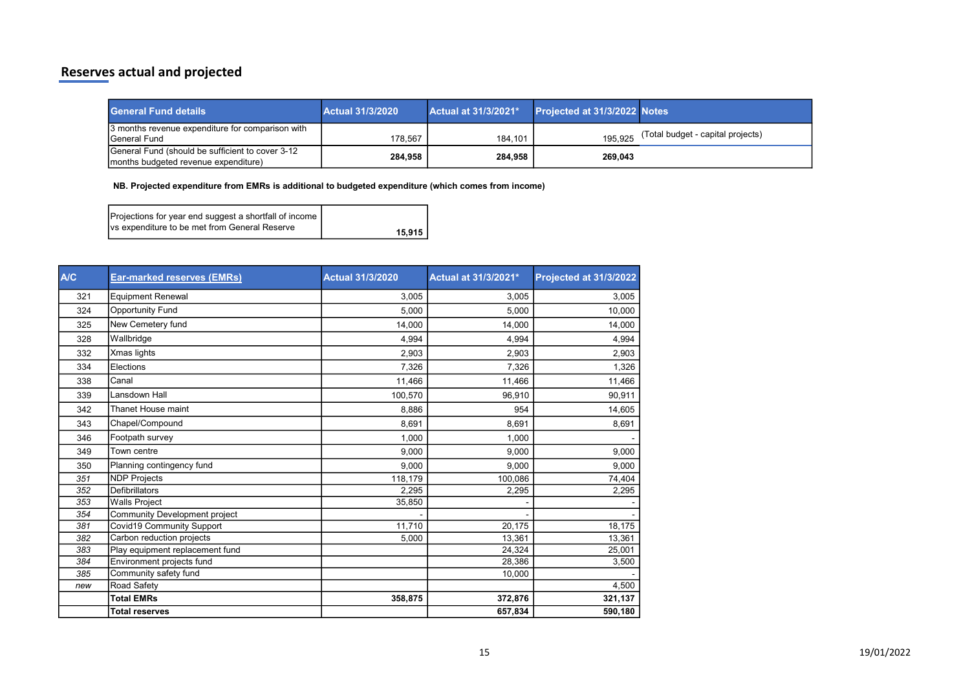# Reserves actual and projected

| <b>General Fund details</b>                                                                               | <b>Actual 31/3/2020</b> | Actual at 31/3/2021* | Projected at 31/3/2022 Notes |                                   |
|-----------------------------------------------------------------------------------------------------------|-------------------------|----------------------|------------------------------|-----------------------------------|
| 3 months revenue expenditure for comparison with<br><b>IGeneral Fund</b>                                  | 178.567                 | 184.101              | 195.925                      | (Total budget - capital projects) |
| <b>Solution</b> General Fund (should be sufficient to cover 3-12<br>Imonths budgeted revenue expenditure) | 284.958                 | 284.958              | 269,043                      |                                   |

NB. Projected expenditure from EMRs is additional to budgeted expenditure (which comes from income)

| Projections for year end suggest a shortfall of income |        |
|--------------------------------------------------------|--------|
| Ivs expenditure to be met from General Reserve         | 15.915 |

| <b>A/C</b> | Ear-marked reserves (EMRs)      | <b>Actual 31/3/2020</b> | Actual at 31/3/2021* | Projected at 31/3/2022 |
|------------|---------------------------------|-------------------------|----------------------|------------------------|
| 321        | <b>Equipment Renewal</b>        | 3,005                   | 3,005                | 3,005                  |
| 324        | <b>Opportunity Fund</b>         | 5,000                   | 5,000                | 10,000                 |
| 325        | New Cemetery fund               | 14.000                  | 14.000               | 14,000                 |
| 328        | Wallbridge                      | 4,994                   | 4,994                | 4,994                  |
| 332        | Xmas lights                     | 2,903                   | 2,903                | 2,903                  |
| 334        | Elections                       | 7,326                   | 7,326                | 1,326                  |
| 338        | Canal                           | 11,466                  | 11,466               | 11,466                 |
| 339        | Lansdown Hall                   | 100,570                 | 96,910               | 90,911                 |
| 342        | <b>Thanet House maint</b>       | 8,886                   | 954                  | 14,605                 |
| 343        | Chapel/Compound                 | 8.691                   | 8,691                | 8,691                  |
| 346        | Footpath survey                 | 1,000                   | 1,000                |                        |
| 349        | Town centre                     | 9.000                   | 9,000                | 9,000                  |
| 350        | Planning contingency fund       | 9.000                   | 9,000                | 9,000                  |
| 351        | <b>NDP Projects</b>             | 118,179                 | 100.086              | 74,404                 |
| 352        | <b>Defibrillators</b>           | 2,295                   | 2,295                | 2,295                  |
| 353        | <b>Walls Project</b>            | 35,850                  |                      |                        |
| 354        | Community Development project   |                         |                      |                        |
| 381        | Covid19 Community Support       | 11,710                  | 20,175               | 18,175                 |
| 382        | Carbon reduction projects       | 5,000                   | 13,361               | 13,361                 |
| 383        | Play equipment replacement fund |                         | 24,324               | 25,001                 |
| 384        | Environment projects fund       |                         | 28,386               | 3,500                  |
| 385        | Community safety fund           |                         | 10,000               |                        |
| new        | Road Safety                     |                         |                      | 4,500                  |
|            | <b>Total EMRs</b>               | 358,875                 | 372,876              | 321,137                |
|            | <b>Total reserves</b>           |                         | 657,834              | 590,180                |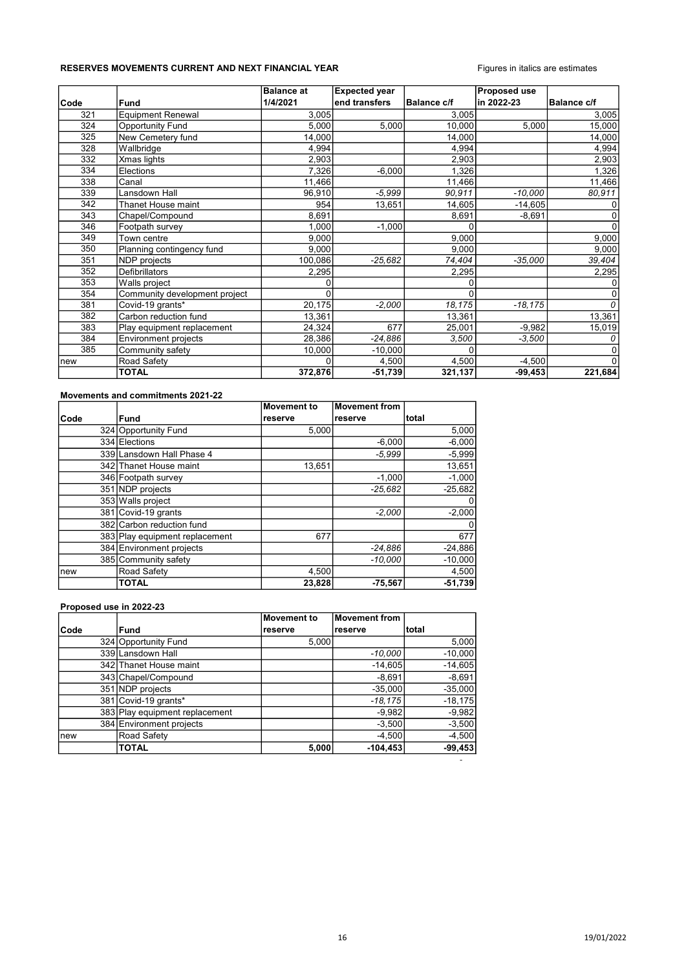### RESERVES MOVEMENTS CURRENT AND NEXT FINANCIAL YEAR FIGURES Figures in italics are estimates

|             |                               | <b>Balance at</b> | <b>Expected year</b> |                    | <b>Proposed use</b> |                    |
|-------------|-------------------------------|-------------------|----------------------|--------------------|---------------------|--------------------|
| <b>Code</b> | <b>Fund</b>                   | 1/4/2021          | end transfers        | <b>Balance c/f</b> | in 2022-23          | <b>Balance c/f</b> |
| 321         | Equipment Renewal             | 3,005             |                      | 3,005              |                     | 3,005              |
| 324         | <b>Opportunity Fund</b>       | 5,000             | 5,000                | 10.000             | 5,000               | 15,000             |
| 325         | New Cemetery fund             | 14,000            |                      | 14,000             |                     | 14,000             |
| 328         | Wallbridge                    | 4,994             |                      | 4,994              |                     | 4,994              |
| 332         | Xmas lights                   | 2,903             |                      | 2,903              |                     | 2,903              |
| 334         | Elections                     | 7,326             | $-6,000$             | 1,326              |                     | 1,326              |
| 338         | Canal                         | 11,466            |                      | 11,466             |                     | 11,466             |
| 339         | Lansdown Hall                 | 96,910            | $-5.999$             | 90,911             | $-10,000$           | 80,911             |
| 342         | Thanet House maint            | 954               | 13,651               | 14,605             | $-14,605$           |                    |
| 343         | Chapel/Compound               | 8,691             |                      | 8,691              | $-8,691$            |                    |
| 346         | Footpath survey               | 1,000             | $-1,000$             |                    |                     |                    |
| 349         | Town centre                   | 9,000             |                      | 9,000              |                     | 9,000              |
| 350         | Planning contingency fund     | 9,000             |                      | 9,000              |                     | 9,000              |
| 351         | NDP projects                  | 100,086           | $-25,682$            | 74,404             | $-35,000$           | 39,404             |
| 352         | Defibrillators                | 2,295             |                      | 2,295              |                     | 2,295              |
| 353         | Walls project                 |                   |                      |                    |                     |                    |
| 354         | Community development project |                   |                      | n                  |                     |                    |
| 381         | Covid-19 grants*              | 20,175            | $-2,000$             | 18,175             | $-18,175$           |                    |
| 382         | Carbon reduction fund         | 13,361            |                      | 13,361             |                     | 13,361             |
| 383         | Play equipment replacement    | 24,324            | 677                  | 25,001             | $-9,982$            | 15,019             |
| 384         | <b>Environment projects</b>   | 28,386            | $-24,886$            | 3,500              | $-3,500$            |                    |
| 385         | Community safety              | 10,000            | $-10,000$            |                    |                     |                    |
| new         | Road Safety                   |                   | 4,500                | 4,500              | $-4,500$            |                    |
|             | <b>TOTAL</b>                  | 372,876           | $-51,739$            | 321,137            | $-99,453$           | 221,684            |

#### Movements and commitments 2021-22

|      |                                | <b>Movement to</b> | Movement from |           |
|------|--------------------------------|--------------------|---------------|-----------|
| Code | <b>Fund</b>                    | reserve            | reserve       | Itotal    |
|      | 324 Opportunity Fund           | 5.000              |               | 5,000     |
|      | 334 Elections                  |                    | $-6,000$      | $-6,000$  |
|      | 339 Lansdown Hall Phase 4      |                    | $-5.999$      | $-5,999$  |
|      | 342 Thanet House maint         | 13.651             |               | 13,651    |
|      | 346 Footpath survey            |                    | $-1,000$      | $-1,000$  |
|      | 351 NDP projects               |                    | $-25.682$     | $-25,682$ |
|      | 353 Walls project              |                    |               |           |
|      | 381 Covid-19 grants            |                    | $-2,000$      | $-2,000$  |
|      | 382 Carbon reduction fund      |                    |               |           |
|      | 383 Play equipment replacement | 677                |               | 677       |
|      | 384 Environment projects       |                    | $-24,886$     | $-24,886$ |
|      | 385 Community safety           |                    | $-10,000$     | $-10,000$ |
| Inew | Road Safety                    | 4,500              |               | 4,500     |
|      | <b>TOTAL</b>                   | 23,828             | $-75,567$     | $-51,739$ |

### Proposed use in 2022-23

|       |                                | Movement to | Movement from |           |
|-------|--------------------------------|-------------|---------------|-----------|
| lCode | <b>Fund</b>                    | reserve     | Ireserve      | Itotal    |
|       | 324 Opportunity Fund           | 5,000       |               | 5,000     |
|       | 339 Lansdown Hall              |             | $-10,000$     | $-10,000$ |
|       | 342 Thanet House maint         |             | $-14,605$     | $-14,605$ |
|       | 343 Chapel/Compound            |             | $-8,691$      | $-8,691$  |
|       | 351 NDP projects               |             | $-35,000$     | $-35,000$ |
|       | 381 Covid-19 grants*           |             | $-18,175$     | $-18,175$ |
|       | 383 Play equipment replacement |             | $-9,982$      | $-9,982$  |
|       | 384 Environment projects       |             | $-3,500$      | $-3,500$  |
| Inew  | Road Safety                    |             | $-4,500$      | $-4,500$  |
|       | <b>TOTAL</b>                   | 5,000       | $-104, 453$   | $-99,453$ |

-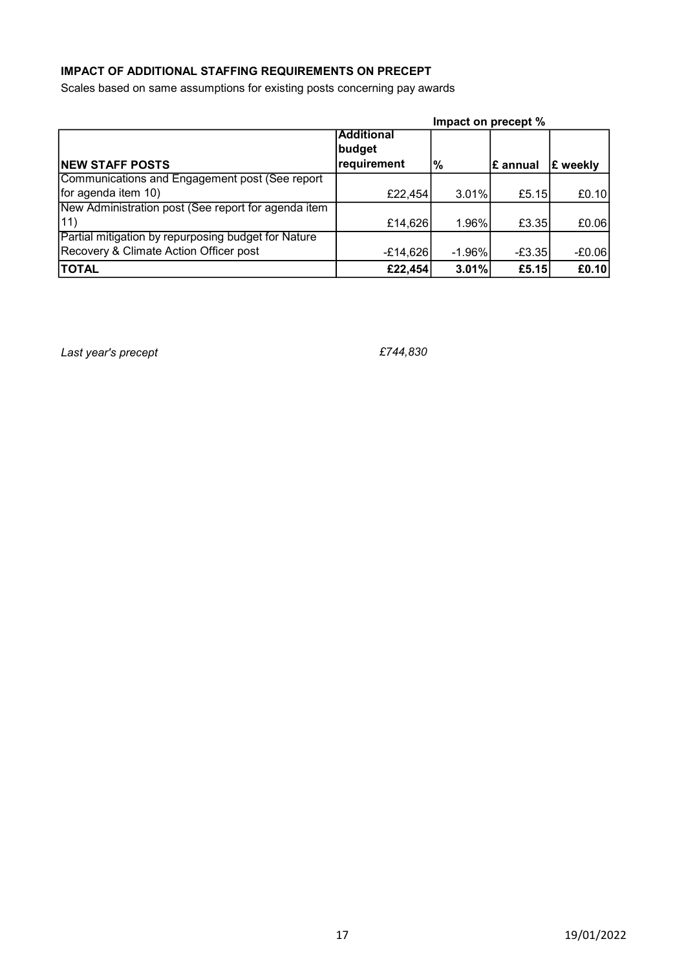# IMPACT OF ADDITIONAL STAFFING REQUIREMENTS ON PRECEPT

Scales based on same assumptions for existing posts concerning pay awards

|                                                     |                   | Impact on precept % |                 |                 |
|-----------------------------------------------------|-------------------|---------------------|-----------------|-----------------|
|                                                     | <b>Additional</b> |                     |                 |                 |
|                                                     | budget            |                     |                 |                 |
| <b>NEW STAFF POSTS</b>                              | requirement       | %                   | <b>E</b> annual | <b>E</b> weekly |
| Communications and Engagement post (See report      |                   |                     |                 |                 |
| for agenda item 10)                                 | £22,454           | 3.01%               | £5.15           | £0.10           |
| New Administration post (See report for agenda item |                   |                     |                 |                 |
| 11)                                                 | £14,626           | $1.96\%$            | £3.35           | £0.06           |
| Partial mitigation by repurposing budget for Nature |                   |                     |                 |                 |
| Recovery & Climate Action Officer post              | $-E14,626$        | $-1.96\%$           | $-E3.35$        | $-E0.06$        |
| <b>TOTAL</b>                                        | £22,454           | 3.01%               | £5.15           | E0.10           |

Last year's precept example to the set of the set of the set of the set of the set of the set of the set of the set of the set of the set of the set of the set of the set of the set of the set of the set of the set of the